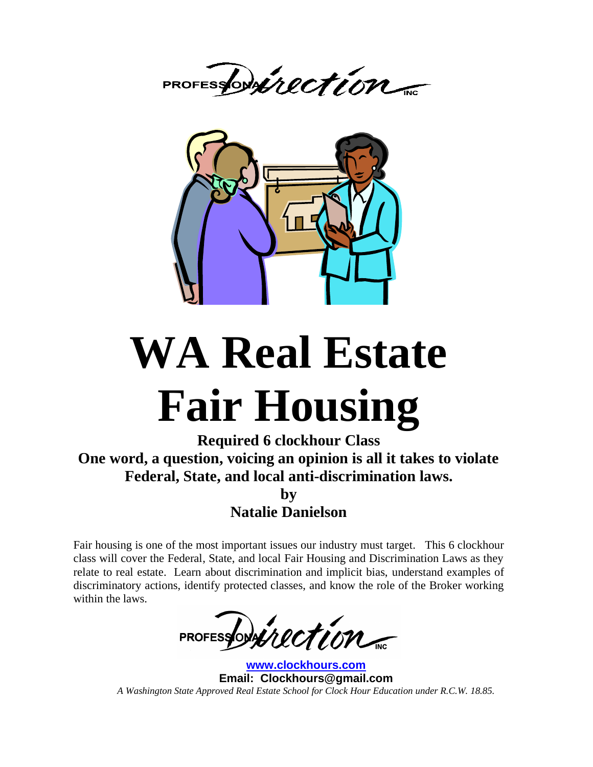PROFESSONAIRCTION



# **WA Real Estate Fair Housing**

**Required 6 clockhour Class One word, a question, voicing an opinion is all it takes to violate Federal, State, and local anti-discrimination laws. by Natalie Danielson**

Fair housing is one of the most important issues our industry must target. This 6 clockhour class will cover the Federal, State, and local Fair Housing and Discrimination Laws as they relate to real estate. Learn about discrimination and implicit bias, understand examples of discriminatory actions, identify protected classes, and know the role of the Broker working within the laws.

PROFESSONAIRCTION

**[www.clockhours.com](http://www.clockhours.com/) Email: Clockhours@gmail.com** *A Washington State Approved Real Estate School for Clock Hour Education under R.C.W. 18.85.*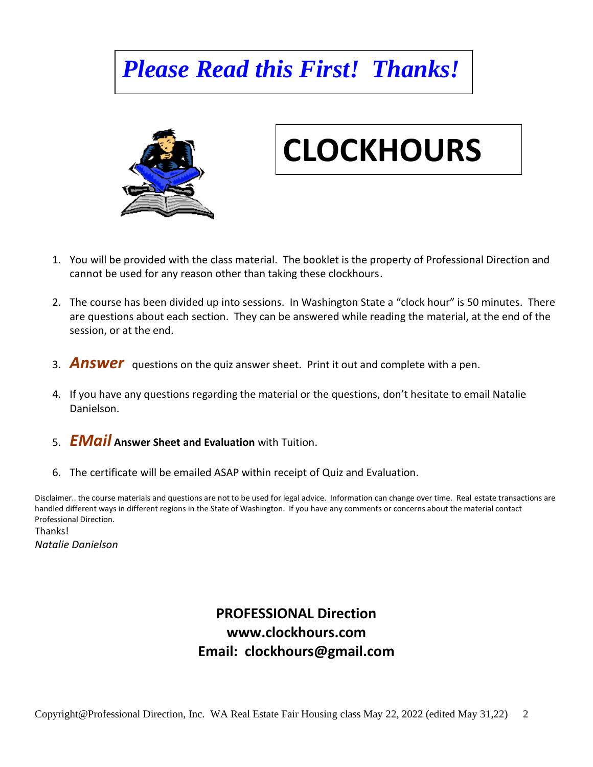## *Please Read this First! Thanks!*



## **CLOCKHOURS**

- 1. You will be provided with the class material. The booklet is the property of Professional Direction and cannot be used for any reason other than taking these clockhours.
- 2. The course has been divided up into sessions. In Washington State a "clock hour" is 50 minutes. There are questions about each section. They can be answered while reading the material, at the end of the session, or at the end.
- 3. *Answer* questions on the quiz answer sheet. Print it out and complete with a pen.
- 4. If you have any questions regarding the material or the questions, don't hesitate to email Natalie Danielson.
- 5. *EMail* **Answer Sheet and Evaluation** with Tuition.
- 6. The certificate will be emailed ASAP within receipt of Quiz and Evaluation.

Disclaimer.. the course materials and questions are not to be used for legal advice. Information can change over time. Real estate transactions are handled different ways in different regions in the State of Washington. If you have any comments or concerns about the material contact Professional Direction.

Thanks! *Natalie Danielson*

## **PROFESSIONAL Direction www.clockhours.com Email: clockhours@gmail.com**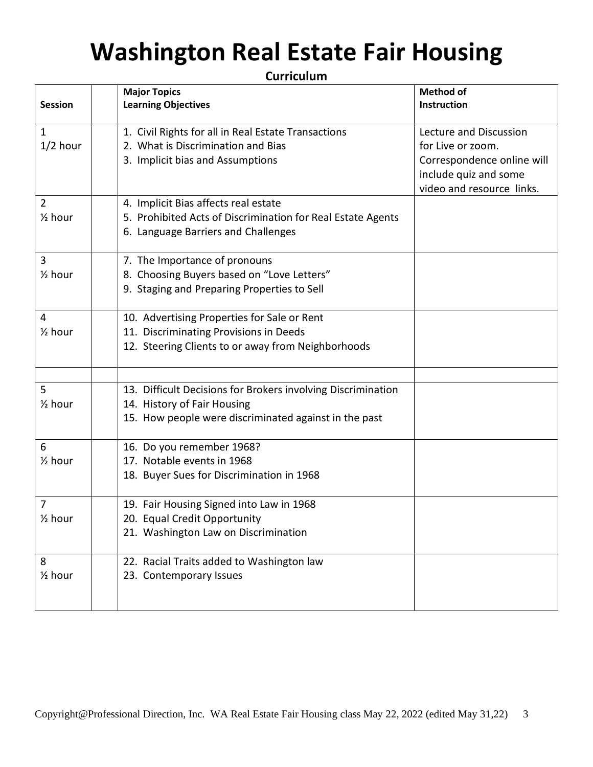## **Washington Real Estate Fair Housing**

**Curriculum**

|                      | <b>Major Topics</b>                                          | <b>Method of</b>           |
|----------------------|--------------------------------------------------------------|----------------------------|
| <b>Session</b>       | <b>Learning Objectives</b>                                   | Instruction                |
|                      |                                                              |                            |
| $\mathbf{1}$         | 1. Civil Rights for all in Real Estate Transactions          | Lecture and Discussion     |
| $1/2$ hour           | 2. What is Discrimination and Bias                           | for Live or zoom.          |
|                      | 3. Implicit bias and Assumptions                             | Correspondence online will |
|                      |                                                              | include quiz and some      |
|                      |                                                              | video and resource links.  |
| $\overline{2}$       | 4. Implicit Bias affects real estate                         |                            |
| $\frac{1}{2}$ hour   | 5. Prohibited Acts of Discrimination for Real Estate Agents  |                            |
|                      | 6. Language Barriers and Challenges                          |                            |
|                      |                                                              |                            |
| $\overline{3}$       | 7. The Importance of pronouns                                |                            |
| $\frac{1}{2}$ hour   | 8. Choosing Buyers based on "Love Letters"                   |                            |
|                      | 9. Staging and Preparing Properties to Sell                  |                            |
|                      |                                                              |                            |
| $\overline{4}$       | 10. Advertising Properties for Sale or Rent                  |                            |
| $\frac{1}{2}$ hour   | 11. Discriminating Provisions in Deeds                       |                            |
|                      | 12. Steering Clients to or away from Neighborhoods           |                            |
|                      |                                                              |                            |
| 5                    | 13. Difficult Decisions for Brokers involving Discrimination |                            |
| $\frac{1}{2}$ hour   | 14. History of Fair Housing                                  |                            |
|                      | 15. How people were discriminated against in the past        |                            |
|                      |                                                              |                            |
| 6                    | 16. Do you remember 1968?                                    |                            |
| $\frac{1}{2}$ hour   | 17. Notable events in 1968                                   |                            |
|                      | 18. Buyer Sues for Discrimination in 1968                    |                            |
| $\overline{7}$       | 19. Fair Housing Signed into Law in 1968                     |                            |
| 1/ <sub>2</sub> hour | 20. Equal Credit Opportunity                                 |                            |
|                      | 21. Washington Law on Discrimination                         |                            |
|                      |                                                              |                            |
| 8                    | 22. Racial Traits added to Washington law                    |                            |
| $\frac{1}{2}$ hour   | 23. Contemporary Issues                                      |                            |
|                      |                                                              |                            |
|                      |                                                              |                            |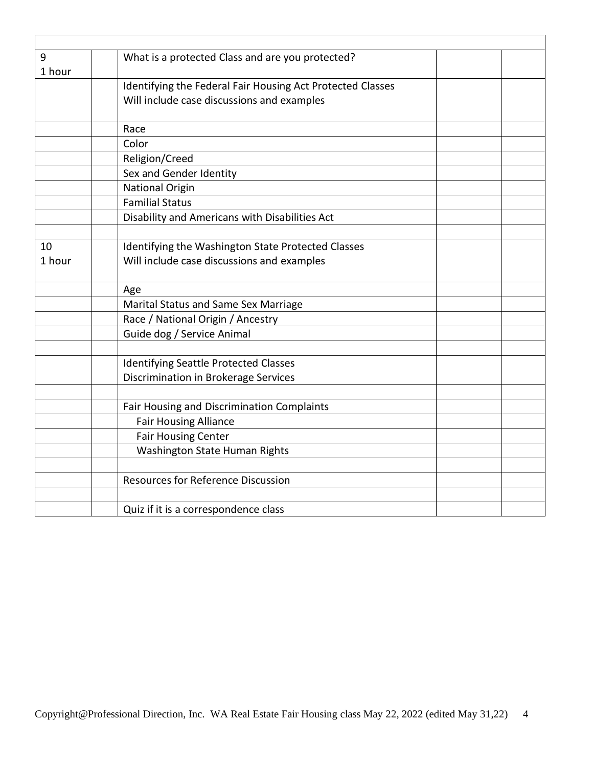| 9                       | What is a protected Class and are you protected?           |  |
|-------------------------|------------------------------------------------------------|--|
| 1 hour                  |                                                            |  |
|                         | Identifying the Federal Fair Housing Act Protected Classes |  |
|                         | Will include case discussions and examples                 |  |
|                         |                                                            |  |
|                         | Race                                                       |  |
|                         | Color                                                      |  |
| Religion/Creed          |                                                            |  |
| Sex and Gender Identity |                                                            |  |
|                         | <b>National Origin</b>                                     |  |
|                         | <b>Familial Status</b>                                     |  |
|                         | Disability and Americans with Disabilities Act             |  |
|                         |                                                            |  |
| 10                      | Identifying the Washington State Protected Classes         |  |
| 1 hour                  | Will include case discussions and examples                 |  |
|                         |                                                            |  |
|                         | Age                                                        |  |
|                         | Marital Status and Same Sex Marriage                       |  |
|                         | Race / National Origin / Ancestry                          |  |
|                         | Guide dog / Service Animal                                 |  |
|                         |                                                            |  |
|                         | <b>Identifying Seattle Protected Classes</b>               |  |
|                         | Discrimination in Brokerage Services                       |  |
|                         |                                                            |  |
|                         | Fair Housing and Discrimination Complaints                 |  |
|                         | <b>Fair Housing Alliance</b>                               |  |
|                         | <b>Fair Housing Center</b>                                 |  |
|                         | Washington State Human Rights                              |  |
|                         |                                                            |  |
|                         | <b>Resources for Reference Discussion</b>                  |  |
|                         |                                                            |  |
|                         | Quiz if it is a correspondence class                       |  |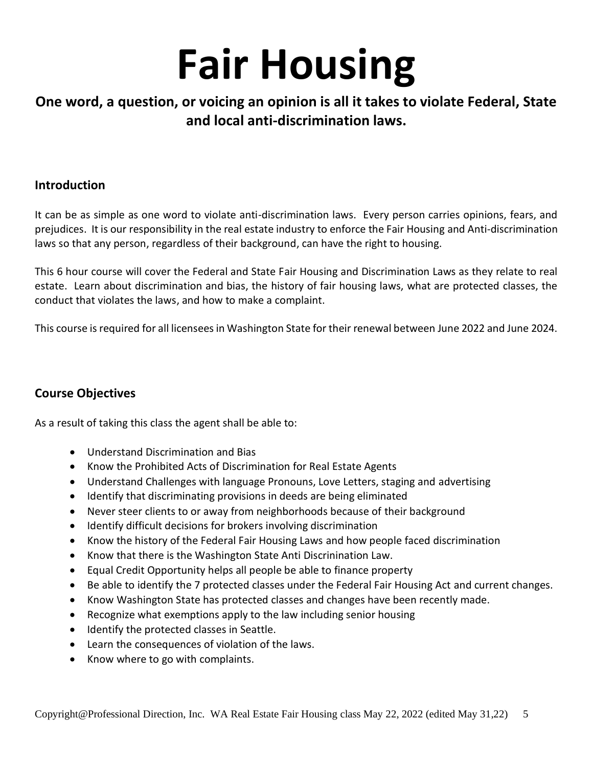# **Fair Housing**

## **One word, a question, or voicing an opinion is all it takes to violate Federal, State and local anti-discrimination laws.**

### **Introduction**

It can be as simple as one word to violate anti-discrimination laws. Every person carries opinions, fears, and prejudices. It is our responsibility in the real estate industry to enforce the Fair Housing and Anti-discrimination laws so that any person, regardless of their background, can have the right to housing.

This 6 hour course will cover the Federal and State Fair Housing and Discrimination Laws as they relate to real estate. Learn about discrimination and bias, the history of fair housing laws, what are protected classes, the conduct that violates the laws, and how to make a complaint.

This course is required for all licensees in Washington State for their renewal between June 2022 and June 2024.

### **Course Objectives**

As a result of taking this class the agent shall be able to:

- Understand Discrimination and Bias
- Know the Prohibited Acts of Discrimination for Real Estate Agents
- Understand Challenges with language Pronouns, Love Letters, staging and advertising
- Identify that discriminating provisions in deeds are being eliminated
- Never steer clients to or away from neighborhoods because of their background
- Identify difficult decisions for brokers involving discrimination
- Know the history of the Federal Fair Housing Laws and how people faced discrimination
- Know that there is the Washington State Anti Discrinination Law.
- Equal Credit Opportunity helps all people be able to finance property
- Be able to identify the 7 protected classes under the Federal Fair Housing Act and current changes.
- Know Washington State has protected classes and changes have been recently made.
- Recognize what exemptions apply to the law including senior housing
- Identify the protected classes in Seattle.
- Learn the consequences of violation of the laws.
- Know where to go with complaints.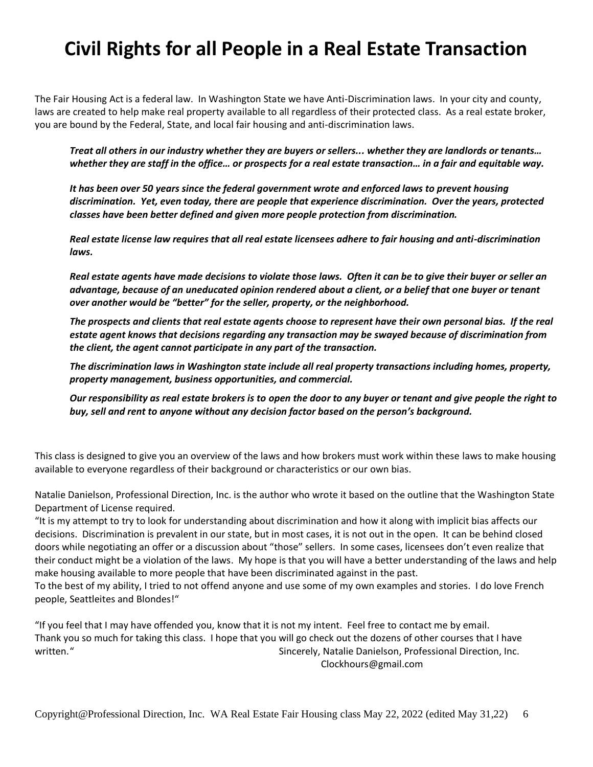## **Civil Rights for all People in a Real Estate Transaction**

The Fair Housing Act is a federal law. In Washington State we have Anti-Discrimination laws. In your city and county, laws are created to help make real property available to all regardless of their protected class. As a real estate broker, you are bound by the Federal, State, and local fair housing and anti-discrimination laws.

*Treat all others in our industry whether they are buyers or sellers... whether they are landlords or tenants… whether they are staff in the office… or prospects for a real estate transaction… in a fair and equitable way.* 

*It has been over 50 years since the federal government wrote and enforced laws to prevent housing discrimination. Yet, even today, there are people that experience discrimination. Over the years, protected classes have been better defined and given more people protection from discrimination.* 

*Real estate license law requires that all real estate licensees adhere to fair housing and anti-discrimination laws.* 

*Real estate agents have made decisions to violate those laws. Often it can be to give their buyer or seller an advantage, because of an uneducated opinion rendered about a client, or a belief that one buyer or tenant over another would be "better" for the seller, property, or the neighborhood.* 

*The prospects and clients that real estate agents choose to represent have their own personal bias. If the real estate agent knows that decisions regarding any transaction may be swayed because of discrimination from the client, the agent cannot participate in any part of the transaction.* 

*The discrimination laws in Washington state include all real property transactions including homes, property, property management, business opportunities, and commercial.*

*Our responsibility as real estate brokers is to open the door to any buyer or tenant and give people the right to buy, sell and rent to anyone without any decision factor based on the person's background.*

This class is designed to give you an overview of the laws and how brokers must work within these laws to make housing available to everyone regardless of their background or characteristics or our own bias.

Natalie Danielson, Professional Direction, Inc. is the author who wrote it based on the outline that the Washington State Department of License required.

"It is my attempt to try to look for understanding about discrimination and how it along with implicit bias affects our decisions. Discrimination is prevalent in our state, but in most cases, it is not out in the open. It can be behind closed doors while negotiating an offer or a discussion about "those" sellers. In some cases, licensees don't even realize that their conduct might be a violation of the laws. My hope is that you will have a better understanding of the laws and help make housing available to more people that have been discriminated against in the past.

To the best of my ability, I tried to not offend anyone and use some of my own examples and stories. I do love French people, Seattleites and Blondes!"

"If you feel that I may have offended you, know that it is not my intent. Feel free to contact me by email. Thank you so much for taking this class. I hope that you will go check out the dozens of other courses that I have written." Sincerely, Natalie Danielson, Professional Direction, Inc. Clockhours@gmail.com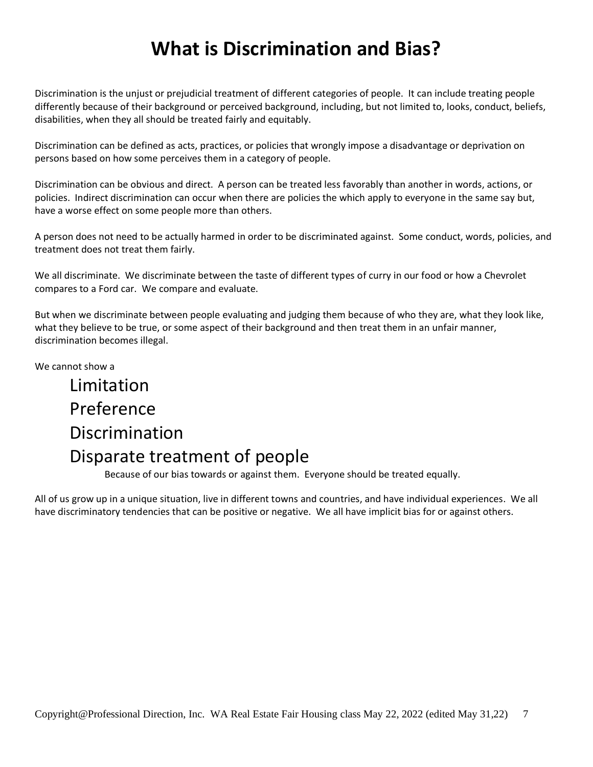## **What is Discrimination and Bias?**

Discrimination is the unjust or prejudicial treatment of different categories of people. It can include treating people differently because of their background or perceived background, including, but not limited to, looks, conduct, beliefs, disabilities, when they all should be treated fairly and equitably.

Discrimination can be defined as acts, practices, or policies that wrongly impose a disadvantage or deprivation on persons based on how some perceives them in a category of people.

Discrimination can be obvious and direct. A person can be treated less favorably than another in words, actions, or policies. Indirect discrimination can occur when there are policies the which apply to everyone in the same say but, have a worse effect on some people more than others.

A person does not need to be actually harmed in order to be discriminated against. Some conduct, words, policies, and treatment does not treat them fairly.

We all discriminate. We discriminate between the taste of different types of curry in our food or how a Chevrolet compares to a Ford car. We compare and evaluate.

But when we discriminate between people evaluating and judging them because of who they are, what they look like, what they believe to be true, or some aspect of their background and then treat them in an unfair manner, discrimination becomes illegal.

We cannot show a

## Limitation Preference Discrimination Disparate treatment of people

Because of our bias towards or against them. Everyone should be treated equally.

All of us grow up in a unique situation, live in different towns and countries, and have individual experiences. We all have discriminatory tendencies that can be positive or negative. We all have implicit bias for or against others.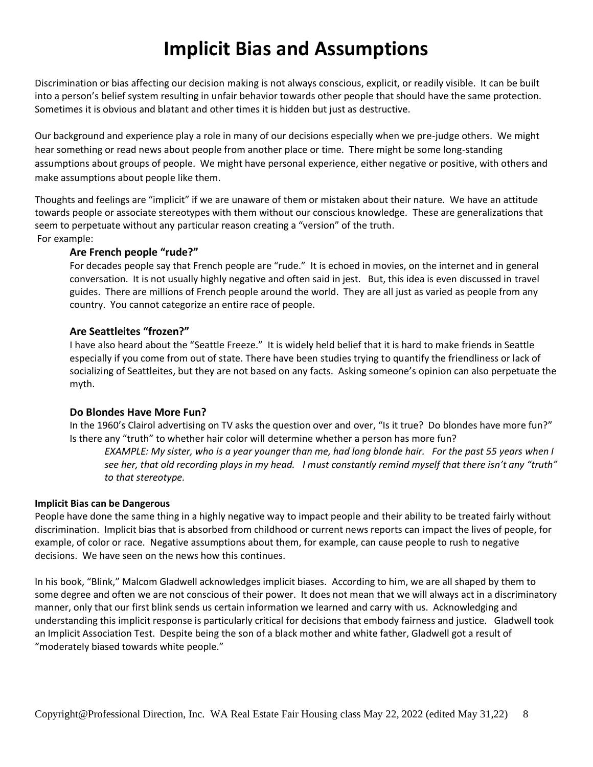## **Implicit Bias and Assumptions**

Discrimination or bias affecting our decision making is not always conscious, explicit, or readily visible. It can be built into a person's belief system resulting in unfair behavior towards other people that should have the same protection. Sometimes it is obvious and blatant and other times it is hidden but just as destructive.

Our background and experience play a role in many of our decisions especially when we pre-judge others. We might hear something or read news about people from another place or time. There might be some long-standing assumptions about groups of people. We might have personal experience, either negative or positive, with others and make assumptions about people like them.

Thoughts and feelings are "implicit" if we are unaware of them or mistaken about their nature. We have an attitude towards people or associate stereotypes with them without our conscious knowledge. These are generalizations that seem to perpetuate without any particular reason creating a "version" of the truth. For example:

### **Are French people "rude?"**

For decades people say that French people are "rude." It is echoed in movies, on the internet and in general conversation. It is not usually highly negative and often said in jest. But, this idea is even discussed in travel guides. There are millions of French people around the world. They are all just as varied as people from any country. You cannot categorize an entire race of people.

### **Are Seattleites "frozen?"**

I have also heard about the "Seattle Freeze." It is widely held belief that it is hard to make friends in Seattle especially if you come from out of state. There have been studies trying to quantify the friendliness or lack of socializing of Seattleites, but they are not based on any facts. Asking someone's opinion can also perpetuate the myth.

### **Do Blondes Have More Fun?**

In the 1960's Clairol advertising on TV asks the question over and over, "Is it true? Do blondes have more fun?" Is there any "truth" to whether hair color will determine whether a person has more fun?

*EXAMPLE: My sister, who is a year younger than me, had long blonde hair. For the past 55 years when I see her, that old recording plays in my head. I must constantly remind myself that there isn't any "truth" to that stereotype.*

### **Implicit Bias can be Dangerous**

People have done the same thing in a highly negative way to impact people and their ability to be treated fairly without discrimination. Implicit bias that is absorbed from childhood or current news reports can impact the lives of people, for example, of color or race. Negative assumptions about them, for example, can cause people to rush to negative decisions. We have seen on the news how this continues.

In his book, "Blink," Malcom Gladwell acknowledges implicit biases. According to him, we are all shaped by them to some degree and often we are not conscious of their power. It does not mean that we will always act in a discriminatory manner, only that our first blink sends us certain information we learned and carry with us. Acknowledging and understanding this implicit response is particularly critical for decisions that embody fairness and justice. Gladwell took an Implicit Association Test. Despite being the son of a black mother and white father, Gladwell got a result of "moderately biased towards white people."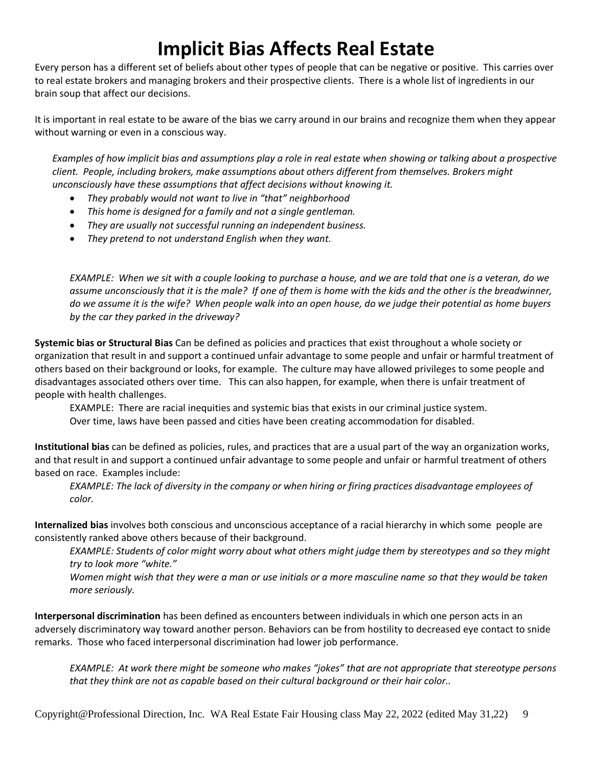## **Implicit Bias Affects Real Estate**

Every person has a different set of beliefs about other types of people that can be negative or positive. This carries over to real estate brokers and managing brokers and their prospective clients. There is a whole list of ingredients in our brain soup that affect our decisions.

It is important in real estate to be aware of the bias we carry around in our brains and recognize them when they appear without warning or even in a conscious way.

*Examples of how implicit bias and assumptions play a role in real estate when showing or talking about a prospective client. People, including brokers, make assumptions about others different from themselves. Brokers might unconsciously have these assumptions that affect decisions without knowing it.* 

- *They probably would not want to live in "that" neighborhood*
- *This home is designed for a family and not a single gentleman.*
- *They are usually not successful running an independent business.*
- *They pretend to not understand English when they want.*

*EXAMPLE: When we sit with a couple looking to purchase a house, and we are told that one is a veteran, do we assume unconsciously that it is the male? If one of them is home with the kids and the other is the breadwinner, do we assume it is the wife? When people walk into an open house, do we judge their potential as home buyers by the car they parked in the driveway?* 

**Systemic bias or Structural Bias** Can be defined as policies and practices that exist throughout a whole society or organization that result in and support a continued unfair advantage to some people and unfair or harmful treatment of others based on their background or looks, for example. The culture may have allowed privileges to some people and disadvantages associated others over time. This can also happen, for example, when there is unfair treatment of people with health challenges.

EXAMPLE: There are racial inequities and systemic bias that exists in our criminal justice system. Over time, laws have been passed and cities have been creating accommodation for disabled.

**Institutional bias** can be defined as policies, rules, and practices that are a usual part of the way an organization works, and that result in and support a continued unfair advantage to some people and unfair or harmful treatment of others based on race. Examples include:

*EXAMPLE: The lack of diversity in the company or when hiring or firing practices disadvantage employees of color.* 

**Internalized bias** involves both conscious and unconscious acceptance of a [racial hierarchy](https://en.wikipedia.org/wiki/Racial_hierarchy) in which some people are consistently ranked above others because of their background.

*EXAMPLE: Students of color might worry about what others might judge them by stereotypes and so they might try to look more "white."* 

*Women might wish that they were a man or use initials or a more masculine name so that they would be taken more seriously.*

**Interpersonal discrimination** has been defined as encounters between individuals in which one person acts in an adversely discriminatory way toward another person. Behaviors can be from hostility to decreased eye contact to snide remarks. Those who faced interpersonal discrimination had lower job performance.

*EXAMPLE: At work there might be someone who makes "jokes" that are not appropriate that stereotype persons that they think are not as capable based on their cultural background or their hair color..*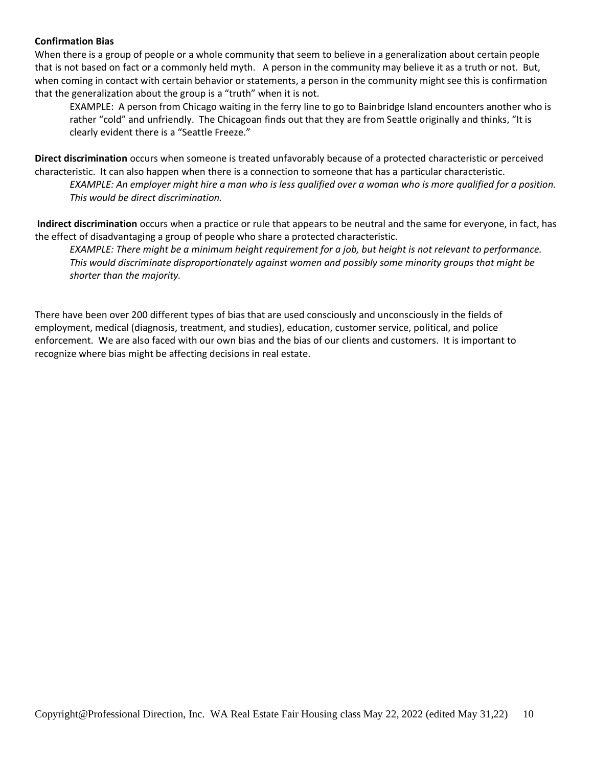#### **Confirmation Bias**

When there is a group of people or a whole community that seem to believe in a generalization about certain people that is not based on fact or a commonly held myth. A person in the community may believe it as a truth or not. But, when coming in contact with certain behavior or statements, a person in the community might see this is confirmation that the generalization about the group is a "truth" when it is not.

EXAMPLE: A person from Chicago waiting in the ferry line to go to Bainbridge Island encounters another who is rather "cold" and unfriendly. The Chicagoan finds out that they are from Seattle originally and thinks, "It is clearly evident there is a "Seattle Freeze."

**Direct discrimination** occurs when someone is treated unfavorably because of a protected characteristic or perceived characteristic. It can also happen when there is a connection to someone that has a particular characteristic. *EXAMPLE: An employer might hire a man who is less qualified over a woman who is more qualified for a position. This would be direct discrimination.* 

**Indirect discrimination** occurs when a practice or rule that appears to be neutral and the same for everyone, in fact, has the effect of disadvantaging a group of people who share a protected characteristic.

*EXAMPLE: There might be a minimum height requirement for a job, but height is not relevant to performance. This would discriminate disproportionately against women and possibly some minority groups that might be shorter than the majority.* 

There have been over 200 different types of bias that are used consciously and unconsciously in the fields of employment, medical (diagnosis, treatment, and studies), education, customer service, political, and police enforcement. We are also faced with our own bias and the bias of our clients and customers. It is important to recognize where bias might be affecting decisions in real estate.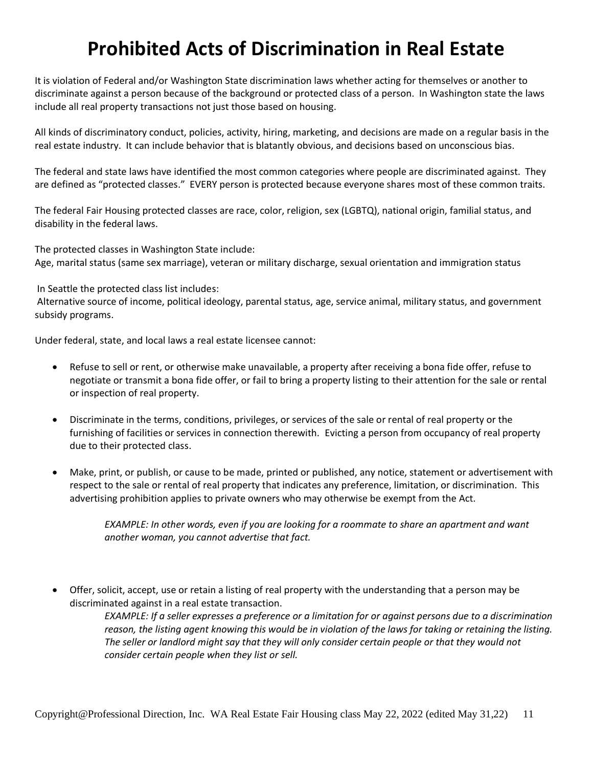## **Prohibited Acts of Discrimination in Real Estate**

It is violation of Federal and/or Washington State discrimination laws whether acting for themselves or another to discriminate against a person because of the background or protected class of a person. In Washington state the laws include all real property transactions not just those based on housing.

All kinds of discriminatory conduct, policies, activity, hiring, marketing, and decisions are made on a regular basis in the real estate industry. It can include behavior that is blatantly obvious, and decisions based on unconscious bias.

The federal and state laws have identified the most common categories where people are discriminated against. They are defined as "protected classes." EVERY person is protected because everyone shares most of these common traits.

The federal Fair Housing protected classes are race, color, religion, sex (LGBTQ), national origin, familial status, and disability in the federal laws.

The protected classes in Washington State include: Age, marital status (same sex marriage), veteran or military discharge, sexual orientation and immigration status

In Seattle the protected class list includes:

Alternative source of income, political ideology, parental status, age, service animal, military status, and government subsidy programs.

Under federal, state, and local laws a real estate licensee cannot:

- Refuse to sell or rent, or otherwise make unavailable, a property after receiving a bona fide offer, refuse to negotiate or transmit a bona fide offer, or fail to bring a property listing to their attention for the sale or rental or inspection of real property.
- Discriminate in the terms, conditions, privileges, or services of the sale or rental of real property or the furnishing of facilities or services in connection therewith. Evicting a person from occupancy of real property due to their protected class.
- Make, print, or publish, or cause to be made, printed or published, any notice, statement or advertisement with respect to the sale or rental of real property that indicates any preference, limitation, or discrimination. This advertising prohibition applies to private owners who may otherwise be exempt from the Act.

*EXAMPLE: In other words, even if you are looking for a roommate to share an apartment and want another woman, you cannot advertise that fact.*

• Offer, solicit, accept, use or retain a listing of real property with the understanding that a person may be discriminated against in a real estate transaction.

> *EXAMPLE: If a seller expresses a preference or a limitation for or against persons due to a discrimination reason, the listing agent knowing this would be in violation of the laws for taking or retaining the listing. The seller or landlord might say that they will only consider certain people or that they would not consider certain people when they list or sell.*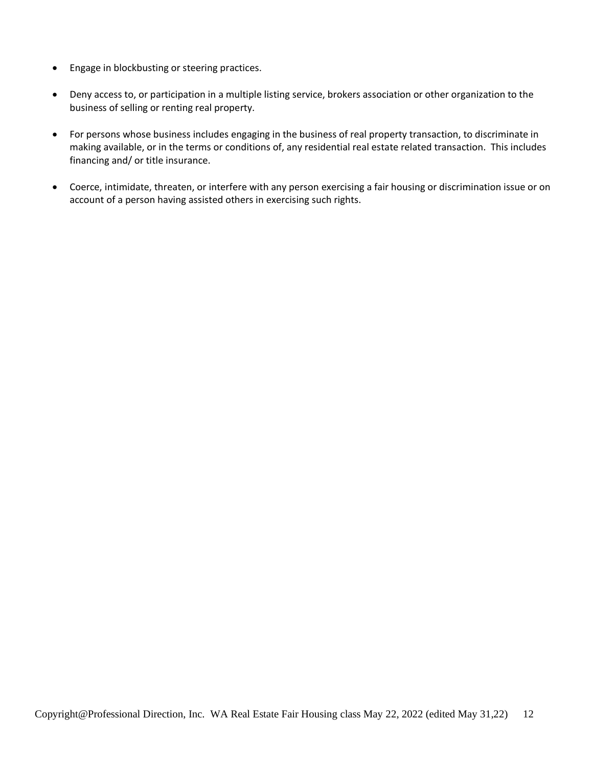- Engage in blockbusting or steering practices.
- Deny access to, or participation in a multiple listing service, brokers association or other organization to the business of selling or renting real property.
- For persons whose business includes engaging in the business of real property transaction, to discriminate in making available, or in the terms or conditions of, any residential real estate related transaction. This includes financing and/ or title insurance.
- Coerce, intimidate, threaten, or interfere with any person exercising a fair housing or discrimination issue or on account of a person having assisted others in exercising such rights.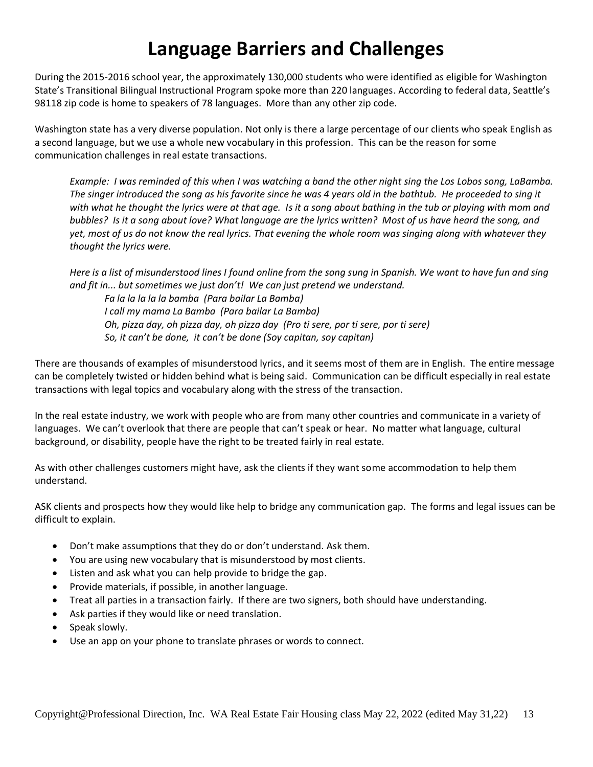## **Language Barriers and Challenges**

During the 2015-2016 school year, the approximately 130,000 students who were identified as eligible for Washington State's Transitional Bilingual Instructional Program spoke more than 220 languages. According to federal data, Seattle's 98118 zip code is home to speakers of 78 languages. More than any other zip code.

Washington state has a very diverse population. Not only is there a large percentage of our clients who speak English as a second language, but we use a whole new vocabulary in this profession. This can be the reason for some communication challenges in real estate transactions.

*Example: I was reminded of this when I was watching a band the other night sing the Los Lobos song, LaBamba. The singer introduced the song as his favorite since he was 4 years old in the bathtub. He proceeded to sing it with what he thought the lyrics were at that age. Is it a song about bathing in the tub or playing with mom and bubbles? Is it a song about love? What language are the lyrics written? Most of us have heard the song, and yet, most of us do not know the real lyrics. That evening the whole room was singing along with whatever they thought the lyrics were.*

*Here is a list of misunderstood lines I found online from the song sung in Spanish. We want to have fun and sing and fit in... but sometimes we just don't! We can just pretend we understand.*

*Fa la la la la la bamba (Para bailar La Bamba) I call my mama La Bamba (Para bailar La Bamba) Oh, pizza day, oh pizza day, oh pizza day (Pro ti sere, por ti sere, por ti sere) So, it can't be done, it can't be done (Soy capitan, soy capitan)*

There are thousands of examples of misunderstood lyrics, and it seems most of them are in English. The entire message can be completely twisted or hidden behind what is being said. Communication can be difficult especially in real estate transactions with legal topics and vocabulary along with the stress of the transaction.

In the real estate industry, we work with people who are from many other countries and communicate in a variety of languages. We can't overlook that there are people that can't speak or hear. No matter what language, cultural background, or disability, people have the right to be treated fairly in real estate.

As with other challenges customers might have, ask the clients if they want some accommodation to help them understand.

ASK clients and prospects how they would like help to bridge any communication gap. The forms and legal issues can be difficult to explain.

- Don't make assumptions that they do or don't understand. Ask them.
- You are using new vocabulary that is misunderstood by most clients.
- Listen and ask what you can help provide to bridge the gap.
- Provide materials, if possible, in another language.
- Treat all parties in a transaction fairly. If there are two signers, both should have understanding.
- Ask parties if they would like or need translation.
- Speak slowly.
- Use an app on your phone to translate phrases or words to connect.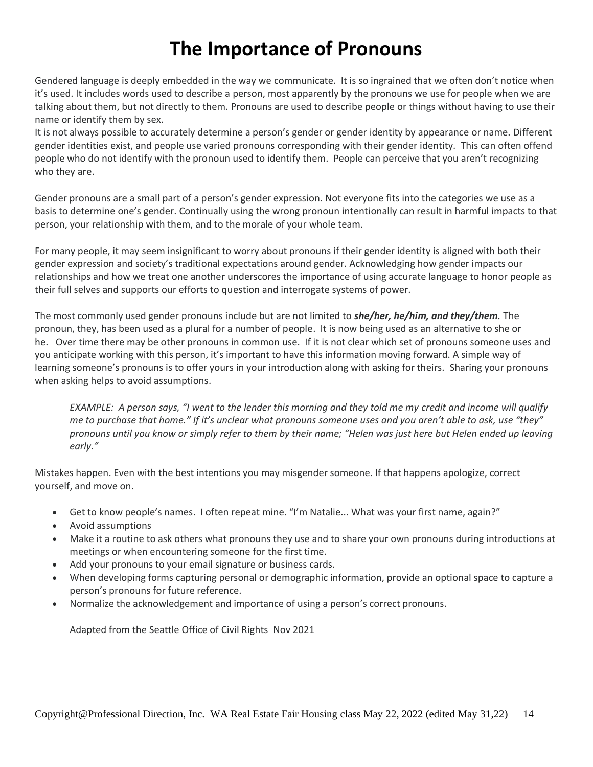## **The Importance of Pronouns**

Gendered language is deeply embedded in the way we communicate. It is so ingrained that we often don't notice when it's used. It includes words used to describe a person, most apparently by the pronouns we use for people when we are talking about them, but not directly to them. Pronouns are used to describe people or things without having to use their name or identify them by sex.

It is not always possible to accurately determine a person's gender or gender identity by appearance or name. Different gender identities exist, and people use varied pronouns corresponding with their gender identity. This can often offend people who do not identify with the pronoun used to identify them. People can perceive that you aren't recognizing who they are.

Gender pronouns are a small part of a person's gender expression. Not everyone fits into the categories we use as a basis to determine one's gender. Continually using the wrong pronoun intentionally can result in harmful impacts to that person, your relationship with them, and to the morale of your whole team.

For many people, it may seem insignificant to worry about pronouns if their gender identity is aligned with both their gender expression and society's traditional expectations around gender. Acknowledging how gender impacts our relationships and how we treat one another underscores the importance of using accurate language to honor people as their full selves and supports our efforts to question and interrogate systems of power.

The most commonly used gender pronouns include but are not limited to *she/her, he/him, and they/them.* The pronoun, they, has been used as a plural for a number of people. It is now being used as an alternative to she or he. Over time there may be other pronouns in common use. If it is not clear which set of pronouns someone uses and you anticipate working with this person, it's important to have this information moving forward. A simple way of learning someone's pronouns is to offer yours in your introduction along with asking for theirs. Sharing your pronouns when asking helps to avoid assumptions.

*EXAMPLE: A person says, "I went to the lender this morning and they told me my credit and income will qualify me to purchase that home." If it's unclear what pronouns someone uses and you aren't able to ask, use "they" pronouns until you know or simply refer to them by their name; "Helen was just here but Helen ended up leaving early."*

Mistakes happen. Even with the best intentions you may misgender someone. If that happens apologize, correct yourself, and move on.

- Get to know people's names. I often repeat mine. "I'm Natalie... What was your first name, again?"
- Avoid assumptions
- Make it a routine to ask others what pronouns they use and to share your own pronouns during introductions at meetings or when encountering someone for the first time.
- Add your pronouns to your email signature or business cards.
- When developing forms capturing personal or demographic information, provide an optional space to capture a person's pronouns for future reference.
- Normalize the acknowledgement and importance of using a person's correct pronouns.

Adapted from the Seattle Office of Civil Rights Nov 2021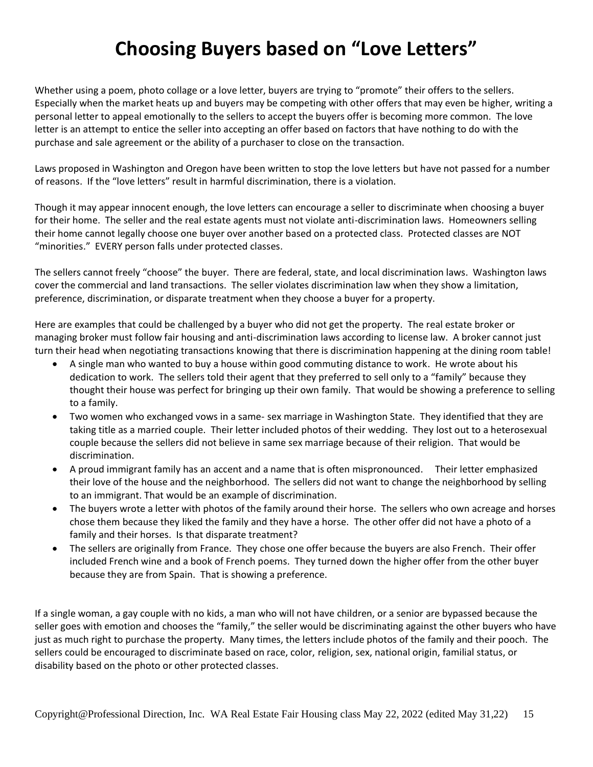## **Choosing Buyers based on "Love Letters"**

Whether using a poem, photo collage or a love letter, buyers are trying to "promote" their offers to the sellers. Especially when the market heats up and buyers may be competing with other offers that may even be higher, writing a personal letter to appeal emotionally to the sellers to accept the buyers offer is becoming more common. The love letter is an attempt to entice the seller into accepting an offer based on factors that have nothing to do with the purchase and sale agreement or the ability of a purchaser to close on the transaction.

Laws proposed in Washington and Oregon have been written to stop the love letters but have not passed for a number of reasons. If the "love letters" result in harmful discrimination, there is a violation.

Though it may appear innocent enough, the love letters can encourage a seller to discriminate when choosing a buyer for their home. The seller and the real estate agents must not violate anti-discrimination laws. Homeowners selling their home cannot legally choose one buyer over another based on a protected class. Protected classes are NOT "minorities." EVERY person falls under protected classes.

The sellers cannot freely "choose" the buyer. There are federal, state, and local discrimination laws. Washington laws cover the commercial and land transactions. The seller violates discrimination law when they show a limitation, preference, discrimination, or disparate treatment when they choose a buyer for a property.

Here are examples that could be challenged by a buyer who did not get the property. The real estate broker or managing broker must follow fair housing and anti-discrimination laws according to license law. A broker cannot just turn their head when negotiating transactions knowing that there is discrimination happening at the dining room table!

- A single man who wanted to buy a house within good commuting distance to work. He wrote about his dedication to work. The sellers told their agent that they preferred to sell only to a "family" because they thought their house was perfect for bringing up their own family. That would be showing a preference to selling to a family.
- Two women who exchanged vows in a same- sex marriage in Washington State. They identified that they are taking title as a married couple. Their letter included photos of their wedding. They lost out to a heterosexual couple because the sellers did not believe in same sex marriage because of their religion. That would be discrimination.
- A proud immigrant family has an accent and a name that is often mispronounced. Their letter emphasized their love of the house and the neighborhood. The sellers did not want to change the neighborhood by selling to an immigrant. That would be an example of discrimination.
- The buyers wrote a letter with photos of the family around their horse. The sellers who own acreage and horses chose them because they liked the family and they have a horse. The other offer did not have a photo of a family and their horses. Is that disparate treatment?
- The sellers are originally from France. They chose one offer because the buyers are also French. Their offer included French wine and a book of French poems. They turned down the higher offer from the other buyer because they are from Spain. That is showing a preference.

If a single woman, a gay couple with no kids, a man who will not have children, or a senior are bypassed because the seller goes with emotion and chooses the "family," the seller would be discriminating against the other buyers who have just as much right to purchase the property. Many times, the letters include photos of the family and their pooch. The sellers could be encouraged to discriminate based on race, color, religion, sex, national origin, familial status, or disability based on the photo or other protected classes.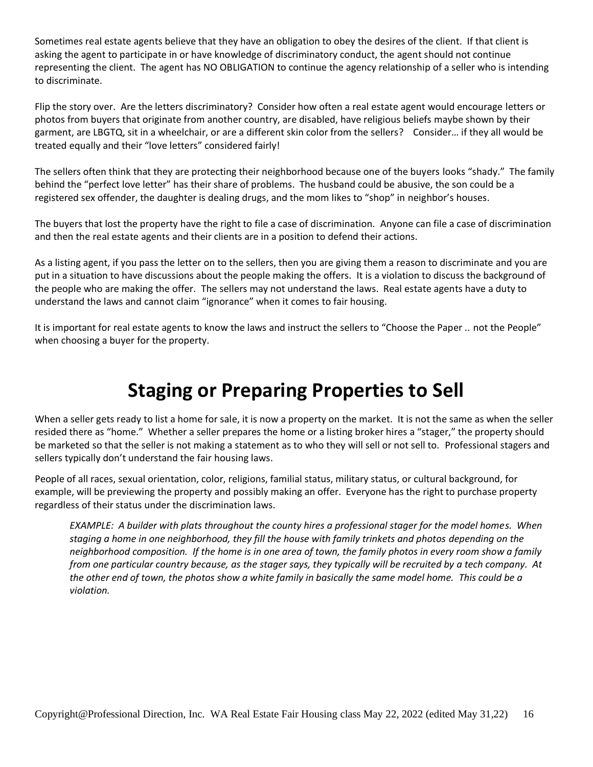Sometimes real estate agents believe that they have an obligation to obey the desires of the client. If that client is asking the agent to participate in or have knowledge of discriminatory conduct, the agent should not continue representing the client. The agent has NO OBLIGATION to continue the agency relationship of a seller who is intending to discriminate.

Flip the story over. Are the letters discriminatory? Consider how often a real estate agent would encourage letters or photos from buyers that originate from another country, are disabled, have religious beliefs maybe shown by their garment, are LBGTQ, sit in a wheelchair, or are a different skin color from the sellers? Consider… if they all would be treated equally and their "love letters" considered fairly!

The sellers often think that they are protecting their neighborhood because one of the buyers looks "shady." The family behind the "perfect love letter" has their share of problems. The husband could be abusive, the son could be a registered sex offender, the daughter is dealing drugs, and the mom likes to "shop" in neighbor's houses.

The buyers that lost the property have the right to file a case of discrimination. Anyone can file a case of discrimination and then the real estate agents and their clients are in a position to defend their actions.

As a listing agent, if you pass the letter on to the sellers, then you are giving them a reason to discriminate and you are put in a situation to have discussions about the people making the offers. It is a violation to discuss the background of the people who are making the offer. The sellers may not understand the laws. Real estate agents have a duty to understand the laws and cannot claim "ignorance" when it comes to fair housing.

It is important for real estate agents to know the laws and instruct the sellers to "Choose the Paper .. not the People" when choosing a buyer for the property.

## **Staging or Preparing Properties to Sell**

When a seller gets ready to list a home for sale, it is now a property on the market. It is not the same as when the seller resided there as "home." Whether a seller prepares the home or a listing broker hires a "stager," the property should be marketed so that the seller is not making a statement as to who they will sell or not sell to. Professional stagers and sellers typically don't understand the fair housing laws.

People of all races, sexual orientation, color, religions, familial status, military status, or cultural background, for example, will be previewing the property and possibly making an offer. Everyone has the right to purchase property regardless of their status under the discrimination laws.

*EXAMPLE: A builder with plats throughout the county hires a professional stager for the model homes. When staging a home in one neighborhood, they fill the house with family trinkets and photos depending on the neighborhood composition. If the home is in one area of town, the family photos in every room show a family from one particular country because, as the stager says, they typically will be recruited by a tech company. At the other end of town, the photos show a white family in basically the same model home. This could be a violation.*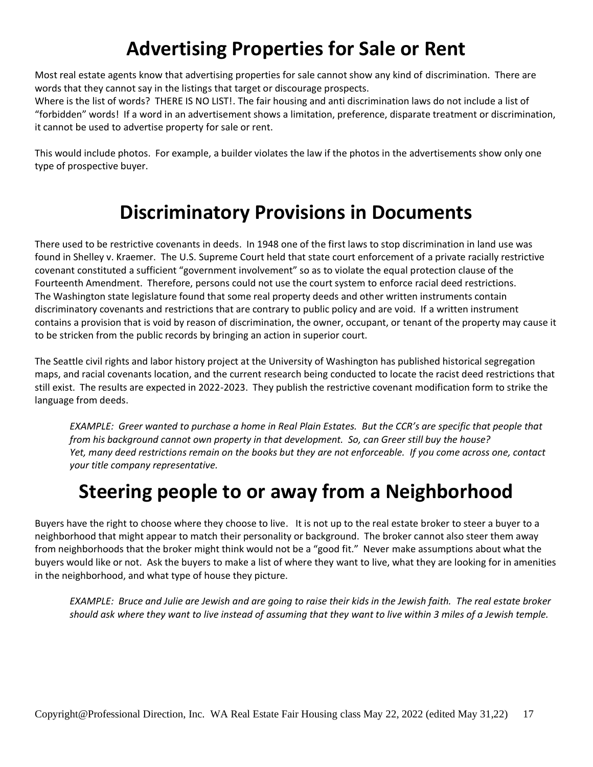## **Advertising Properties for Sale or Rent**

Most real estate agents know that advertising properties for sale cannot show any kind of discrimination. There are words that they cannot say in the listings that target or discourage prospects.

Where is the list of words? THERE IS NO LIST!. The fair housing and anti discrimination laws do not include a list of "forbidden" words! If a word in an advertisement shows a limitation, preference, disparate treatment or discrimination, it cannot be used to advertise property for sale or rent.

This would include photos. For example, a builder violates the law if the photos in the advertisements show only one type of prospective buyer.

## **Discriminatory Provisions in Documents**

There used to be restrictive covenants in deeds. In 1948 one of the first laws to stop discrimination in land use was found in Shelley v. Kraemer. The U.S. Supreme Court held that state court enforcement of a private racially restrictive covenant constituted a sufficient "government involvement" so as to violate the equal protection clause of the Fourteenth Amendment. Therefore, persons could not use the court system to enforce racial deed restrictions. The Washington state legislature found that some real property deeds and other written instruments contain discriminatory covenants and restrictions that are contrary to public policy and are void. If a written instrument contains a provision that is void by reason of discrimination, the owner, occupant, or tenant of the property may cause it to be stricken from the public records by bringing an action in superior court.

The Seattle civil rights and labor history project at the University of Washington has published historical segregation maps, and racial covenants location, and the current research being conducted to locate the racist deed restrictions that still exist. The results are expected in 2022-2023. They publish the restrictive covenant modification form to strike the language from deeds.

*EXAMPLE: Greer wanted to purchase a home in Real Plain Estates. But the CCR's are specific that people that from his background cannot own property in that development. So, can Greer still buy the house? Yet, many deed restrictions remain on the books but they are not enforceable. If you come across one, contact your title company representative.*

## **Steering people to or away from a Neighborhood**

Buyers have the right to choose where they choose to live. It is not up to the real estate broker to steer a buyer to a neighborhood that might appear to match their personality or background. The broker cannot also steer them away from neighborhoods that the broker might think would not be a "good fit." Never make assumptions about what the buyers would like or not. Ask the buyers to make a list of where they want to live, what they are looking for in amenities in the neighborhood, and what type of house they picture.

*EXAMPLE: Bruce and Julie are Jewish and are going to raise their kids in the Jewish faith. The real estate broker should ask where they want to live instead of assuming that they want to live within 3 miles of a Jewish temple.*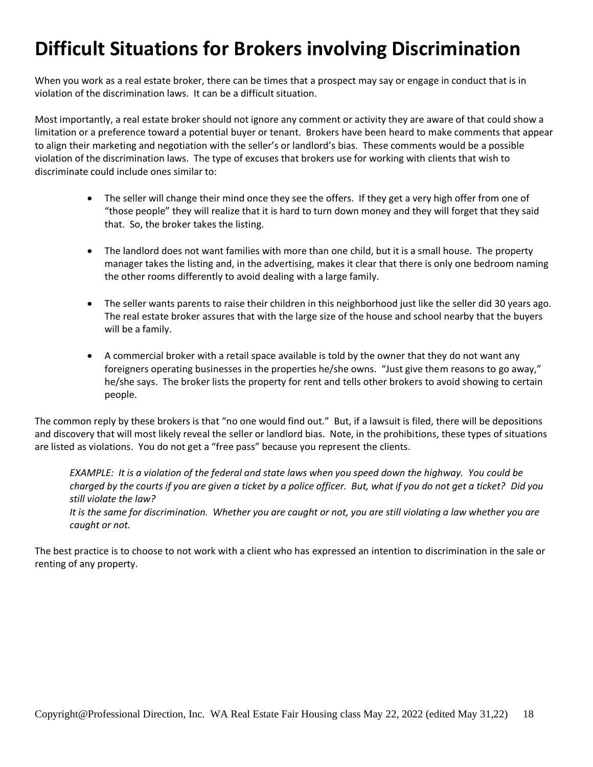## **Difficult Situations for Brokers involving Discrimination**

When you work as a real estate broker, there can be times that a prospect may say or engage in conduct that is in violation of the discrimination laws. It can be a difficult situation.

Most importantly, a real estate broker should not ignore any comment or activity they are aware of that could show a limitation or a preference toward a potential buyer or tenant. Brokers have been heard to make comments that appear to align their marketing and negotiation with the seller's or landlord's bias. These comments would be a possible violation of the discrimination laws. The type of excuses that brokers use for working with clients that wish to discriminate could include ones similar to:

- The seller will change their mind once they see the offers. If they get a very high offer from one of "those people" they will realize that it is hard to turn down money and they will forget that they said that. So, the broker takes the listing.
- The landlord does not want families with more than one child, but it is a small house. The property manager takes the listing and, in the advertising, makes it clear that there is only one bedroom naming the other rooms differently to avoid dealing with a large family.
- The seller wants parents to raise their children in this neighborhood just like the seller did 30 years ago. The real estate broker assures that with the large size of the house and school nearby that the buyers will be a family.
- A commercial broker with a retail space available is told by the owner that they do not want any foreigners operating businesses in the properties he/she owns. "Just give them reasons to go away," he/she says. The broker lists the property for rent and tells other brokers to avoid showing to certain people.

The common reply by these brokers is that "no one would find out." But, if a lawsuit is filed, there will be depositions and discovery that will most likely reveal the seller or landlord bias. Note, in the prohibitions, these types of situations are listed as violations. You do not get a "free pass" because you represent the clients.

*EXAMPLE: It is a violation of the federal and state laws when you speed down the highway. You could be charged by the courts if you are given a ticket by a police officer. But, what if you do not get a ticket? Did you still violate the law? It is the same for discrimination. Whether you are caught or not, you are still violating a law whether you are caught or not.*

The best practice is to choose to not work with a client who has expressed an intention to discrimination in the sale or renting of any property.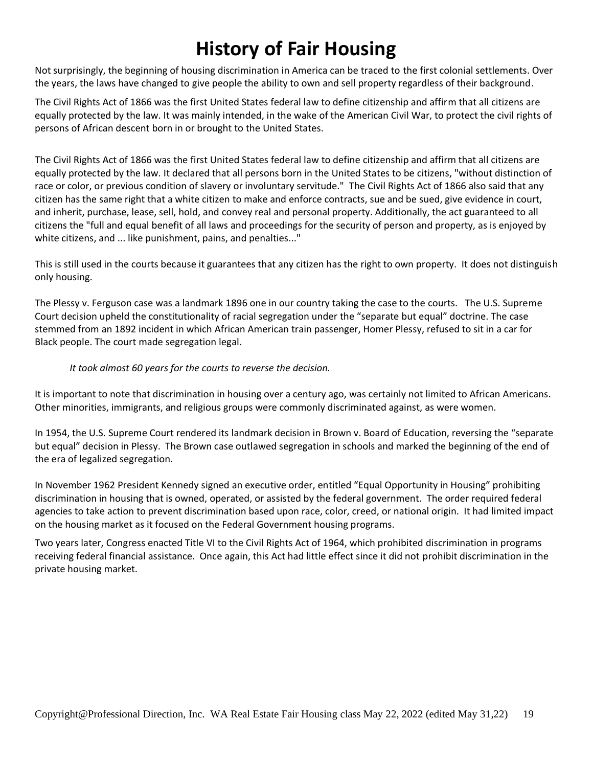## **History of Fair Housing**

Not surprisingly, the beginning of housing discrimination in America can be traced to the first colonial settlements. Over the years, the laws have changed to give people the ability to own and sell property regardless of their background.

The Civil Rights Act of 1866 was the first United States federal law to define citizenship and affirm that all citizens are equally protected by the law. It was mainly intended, in the wake of the American Civil War, to protect the civil rights of persons of African descent born in or brought to the United States.

The Civil Rights Act of 1866 was the first United States federal law to define citizenship and affirm that all citizens are equally protected by the law. It declared that all persons born in the United States to be citizens, "without distinction of race or color, or previous condition of slavery or involuntary servitude." The Civil Rights Act of 1866 also said that any citizen has the same right that a white citizen to make and enforce contracts, sue and be sued, give evidence in court, and inherit, purchase, lease, sell, hold, and convey real and personal property. Additionally, the act guaranteed to all citizens the "full and equal benefit of all laws and proceedings for the security of person and property, as is enjoyed by white citizens, and ... like punishment, pains, and penalties..."

This is still used in the courts because it guarantees that any citizen has the right to own property. It does not distinguish only housing.

The Plessy v. Ferguson case was a landmark 1896 one in our country taking the case to the courts. The U.S. Supreme Court decision upheld the constitutionality of racial segregation under the "separate but equal" doctrine. The case stemmed from an 1892 incident in which African American train passenger, Homer Plessy, refused to sit in a car for Black people. The court made segregation legal.

### *It took almost 60 years for the courts to reverse the decision.*

It is important to note that discrimination in housing over a century ago, was certainly not limited to African Americans. Other minorities, immigrants, and religious groups were commonly discriminated against, as were women.

In 1954, the U.S. Supreme Court rendered its landmark decision in Brown v. Board of Education, reversing the "separate but equal" decision in Plessy. The Brown case outlawed segregation in schools and marked the beginning of the end of the era of legalized segregation.

In November 1962 President Kennedy signed an executive order, entitled "Equal Opportunity in Housing" prohibiting discrimination in housing that is owned, operated, or assisted by the federal government. The order required federal agencies to take action to prevent discrimination based upon race, color, creed, or national origin. It had limited impact on the housing market as it focused on the Federal Government housing programs.

Two years later, Congress enacted Title VI to the Civil Rights Act of 1964, which prohibited discrimination in programs receiving federal financial assistance. Once again, this Act had little effect since it did not prohibit discrimination in the private housing market.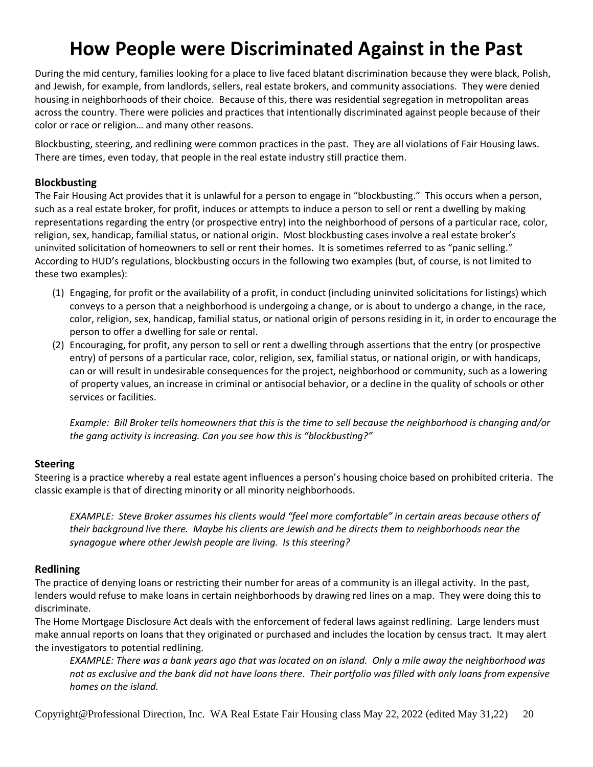## **How People were Discriminated Against in the Past**

During the mid century, families looking for a place to live faced blatant discrimination because they were black, Polish, and Jewish, for example, from landlords, sellers, real estate brokers, and community associations. They were denied housing in neighborhoods of their choice. Because of this, there was residential segregation in metropolitan areas across the country. There were policies and practices that intentionally discriminated against people because of their color or race or religion… and many other reasons.

Blockbusting, steering, and redlining were common practices in the past. They are all violations of Fair Housing laws. There are times, even today, that people in the real estate industry still practice them.

### **Blockbusting**

The Fair Housing Act provides that it is unlawful for a person to engage in "blockbusting." This occurs when a person, such as a real estate broker, for profit, induces or attempts to induce a person to sell or rent a dwelling by making representations regarding the entry (or prospective entry) into the neighborhood of persons of a particular race, color, religion, sex, handicap, familial status, or national origin. Most blockbusting cases involve a real estate broker's uninvited solicitation of homeowners to sell or rent their homes. It is sometimes referred to as "panic selling." According to HUD's regulations, blockbusting occurs in the following two examples (but, of course, is not limited to these two examples):

- (1) Engaging, for profit or the availability of a profit, in conduct (including uninvited solicitations for listings) which conveys to a person that a neighborhood is undergoing a change, or is about to undergo a change, in the race, color, religion, sex, handicap, familial status, or national origin of persons residing in it, in order to encourage the person to offer a dwelling for sale or rental.
- (2) Encouraging, for profit, any person to sell or rent a dwelling through assertions that the entry (or prospective entry) of persons of a particular race, color, religion, sex, familial status, or national origin, or with handicaps, can or will result in undesirable consequences for the project, neighborhood or community, such as a lowering of property values, an increase in criminal or antisocial behavior, or a decline in the quality of schools or other services or facilities.

*Example: Bill Broker tells homeowners that this is the time to sell because the neighborhood is changing and/or the gang activity is increasing. Can you see how this is "blockbusting?"*

### **Steering**

Steering is a practice whereby a real estate agent influences a person's housing choice based on prohibited criteria. The classic example is that of directing minority or all minority neighborhoods.

*EXAMPLE: Steve Broker assumes his clients would "feel more comfortable" in certain areas because others of their background live there. Maybe his clients are Jewish and he directs them to neighborhoods near the synagogue where other Jewish people are living. Is this steering?*

### **Redlining**

The practice of denying loans or restricting their number for areas of a community is an illegal activity. In the past, lenders would refuse to make loans in certain neighborhoods by drawing red lines on a map. They were doing this to discriminate.

The Home Mortgage Disclosure Act deals with the enforcement of federal laws against redlining. Large lenders must make annual reports on loans that they originated or purchased and includes the location by census tract. It may alert the investigators to potential redlining.

*EXAMPLE: There was a bank years ago that was located on an island. Only a mile away the neighborhood was not as exclusive and the bank did not have loans there. Their portfolio was filled with only loans from expensive homes on the island.*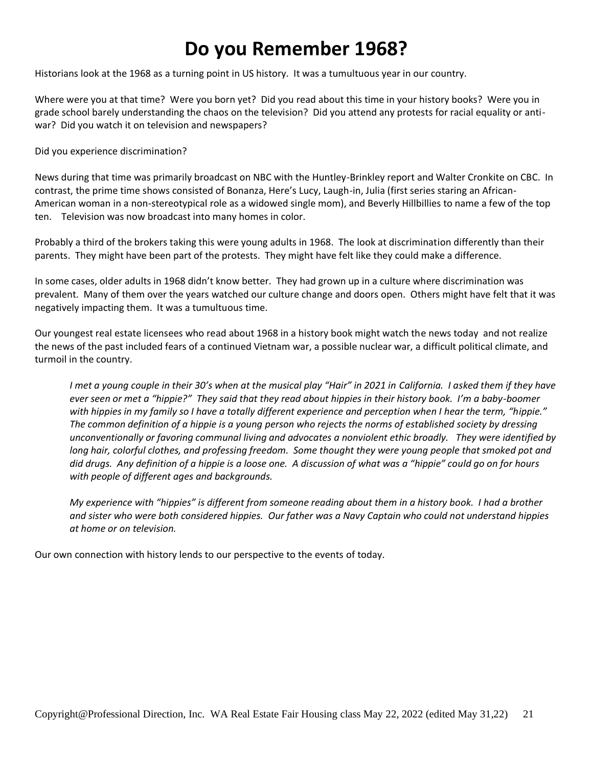## **Do you Remember 1968?**

Historians look at the 1968 as a turning point in US history. It was a tumultuous year in our country.

Where were you at that time? Were you born yet? Did you read about this time in your history books? Were you in grade school barely understanding the chaos on the television? Did you attend any protests for racial equality or antiwar? Did you watch it on television and newspapers?

Did you experience discrimination?

News during that time was primarily broadcast on NBC with the Huntley-Brinkley report and Walter Cronkite on CBC. In contrast, the prime time shows consisted of Bonanza, Here's Lucy, Laugh-in, Julia (first series staring an African-American woman in a non-stereotypical role as a widowed single mom), and Beverly Hillbillies to name a few of the top ten. Television was now broadcast into many homes in color.

Probably a third of the brokers taking this were young adults in 1968. The look at discrimination differently than their parents. They might have been part of the protests. They might have felt like they could make a difference.

In some cases, older adults in 1968 didn't know better. They had grown up in a culture where discrimination was prevalent. Many of them over the years watched our culture change and doors open. Others might have felt that it was negatively impacting them. It was a tumultuous time.

Our youngest real estate licensees who read about 1968 in a history book might watch the news today and not realize the news of the past included fears of a continued Vietnam war, a possible nuclear war, a difficult political climate, and turmoil in the country.

*I* met a young couple in their 30's when at the musical play "Hair" in 2021 in California. I asked them if they have *ever seen or met a "hippie?" They said that they read about hippies in their history book. I'm a baby-boomer with hippies in my family so I have a totally different experience and perception when I hear the term, "hippie." The common definition of a hippie is a young person who rejects the norms of established society by dressing unconventionally or favoring communal living and advocates a nonviolent ethic broadly. They were identified by*  long hair, colorful clothes, and professing freedom. Some thought they were young people that smoked pot and *did drugs. Any definition of a hippie is a loose one. A discussion of what was a "hippie" could go on for hours with people of different ages and backgrounds.*

*My experience with "hippies" is different from someone reading about them in a history book. I had a brother and sister who were both considered hippies. Our father was a Navy Captain who could not understand hippies at home or on television.* 

Our own connection with history lends to our perspective to the events of today.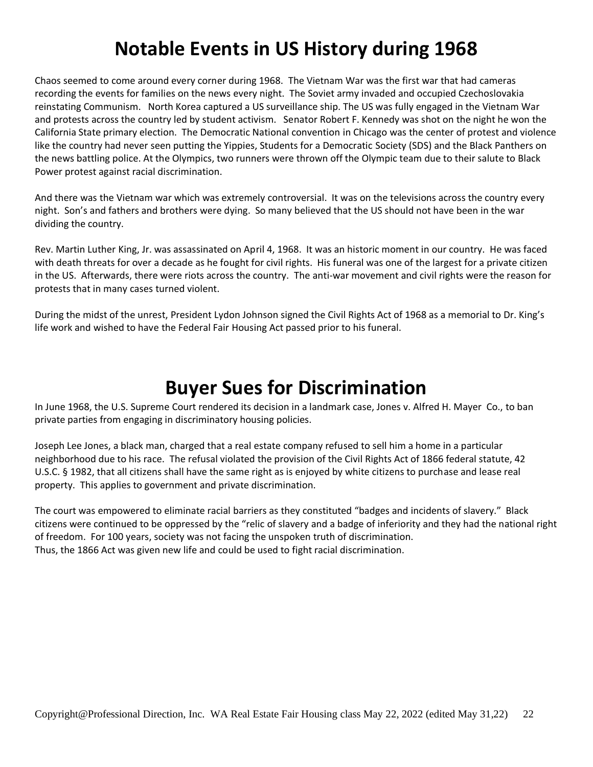## **Notable Events in US History during 1968**

Chaos seemed to come around every corner during 1968. The Vietnam War was the first war that had cameras recording the events for families on the news every night. The Soviet army invaded and occupied Czechoslovakia reinstating Communism. North Korea captured a US surveillance ship. The US was fully engaged in the Vietnam War and protests across the country led by student activism. Senator Robert F. Kennedy was shot on the night he won the California State primary election. The Democratic National convention in Chicago was the center of protest and violence like the country had never seen putting the Yippies, Students for a Democratic Society (SDS) and the Black Panthers on the news battling police. At the Olympics, two runners were thrown off the Olympic team due to their salute to Black Power protest against racial discrimination.

And there was the Vietnam war which was extremely controversial. It was on the televisions across the country every night. Son's and fathers and brothers were dying. So many believed that the US should not have been in the war dividing the country.

Rev. Martin Luther King, Jr. was assassinated on April 4, 1968. It was an historic moment in our country. He was faced with death threats for over a decade as he fought for civil rights. His funeral was one of the largest for a private citizen in the US. Afterwards, there were riots across the country. The anti-war movement and civil rights were the reason for protests that in many cases turned violent.

During the midst of the unrest, President Lydon Johnson signed the Civil Rights Act of 1968 as a memorial to Dr. King's life work and wished to have the Federal Fair Housing Act passed prior to his funeral.

## **Buyer Sues for Discrimination**

In June 1968, the U.S. Supreme Court rendered its decision in a landmark case, Jones v. Alfred H. Mayer Co., to ban private parties from engaging in discriminatory housing policies.

Joseph Lee Jones, a black man, charged that a real estate company refused to sell him a home in a particular neighborhood due to his race. The refusal violated the provision of the Civil Rights Act of 1866 federal statute, 42 U.S.C. § 1982, that all citizens shall have the same right as is enjoyed by white citizens to purchase and lease real property. This applies to government and private discrimination.

The court was empowered to eliminate racial barriers as they constituted "badges and incidents of slavery." Black citizens were continued to be oppressed by the "relic of slavery and a badge of inferiority and they had the national right of freedom. For 100 years, society was not facing the unspoken truth of discrimination. Thus, the 1866 Act was given new life and could be used to fight racial discrimination.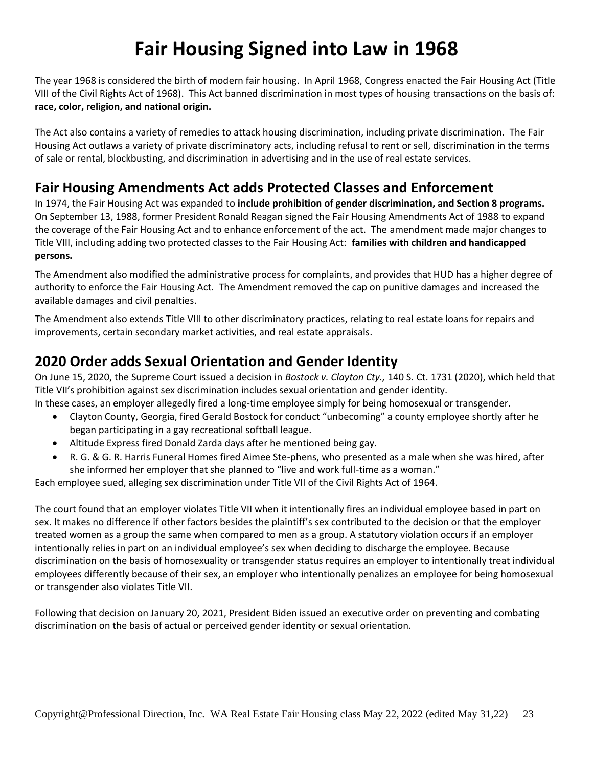## **Fair Housing Signed into Law in 1968**

The year 1968 is considered the birth of modern fair housing. In April 1968, Congress enacted the Fair Housing Act (Title VIII of the Civil Rights Act of 1968). This Act banned discrimination in most types of housing transactions on the basis of: **race, color, religion, and national origin.**

The Act also contains a variety of remedies to attack housing discrimination, including private discrimination. The Fair Housing Act outlaws a variety of private discriminatory acts, including refusal to rent or sell, discrimination in the terms of sale or rental, blockbusting, and discrimination in advertising and in the use of real estate services.

## **Fair Housing Amendments Act adds Protected Classes and Enforcement**

In 1974, the Fair Housing Act was expanded to **include prohibition of gender discrimination, and Section 8 programs.** On September 13, 1988, former President Ronald Reagan signed the Fair Housing Amendments Act of 1988 to expand the coverage of the Fair Housing Act and to enhance enforcement of the act. The amendment made major changes to Title VIII, including adding two protected classes to the Fair Housing Act: **families with children and handicapped persons.**

The Amendment also modified the administrative process for complaints, and provides that HUD has a higher degree of authority to enforce the Fair Housing Act. The Amendment removed the cap on punitive damages and increased the available damages and civil penalties.

The Amendment also extends Title VIII to other discriminatory practices, relating to real estate loans for repairs and improvements, certain secondary market activities, and real estate appraisals.

## **2020 Order adds Sexual Orientation and Gender Identity**

On June 15, 2020, the Supreme Court issued a decision in *Bostock v. Clayton Cty.,* 140 S. Ct. 1731 (2020), which held that Title VII's prohibition against sex discrimination includes sexual orientation and gender identity.

In these cases, an employer allegedly fired a long-time employee simply for being homosexual or transgender.

- Clayton County, Georgia, fired Gerald Bostock for conduct "unbecoming" a county employee shortly after he began participating in a gay recreational softball league.
- Altitude Express fired Donald Zarda days after he mentioned being gay.
- R. G. & G. R. Harris Funeral Homes fired Aimee Ste-phens, who presented as a male when she was hired, after she informed her employer that she planned to "live and work full-time as a woman."

Each employee sued, alleging sex discrimination under Title VII of the Civil Rights Act of 1964.

The court found that an employer violates Title VII when it intentionally fires an individual employee based in part on sex. It makes no difference if other factors besides the plaintiff's sex contributed to the decision or that the employer treated women as a group the same when compared to men as a group. A statutory violation occurs if an employer intentionally relies in part on an individual employee's sex when deciding to discharge the employee. Because discrimination on the basis of homosexuality or transgender status requires an employer to intentionally treat individual employees differently because of their sex, an employer who intentionally penalizes an employee for being homosexual or transgender also violates Title VII.

Following that decision on January 20, 2021, President Biden issued an executive order on preventing and combating discrimination on the basis of actual or perceived gender identity or sexual orientation.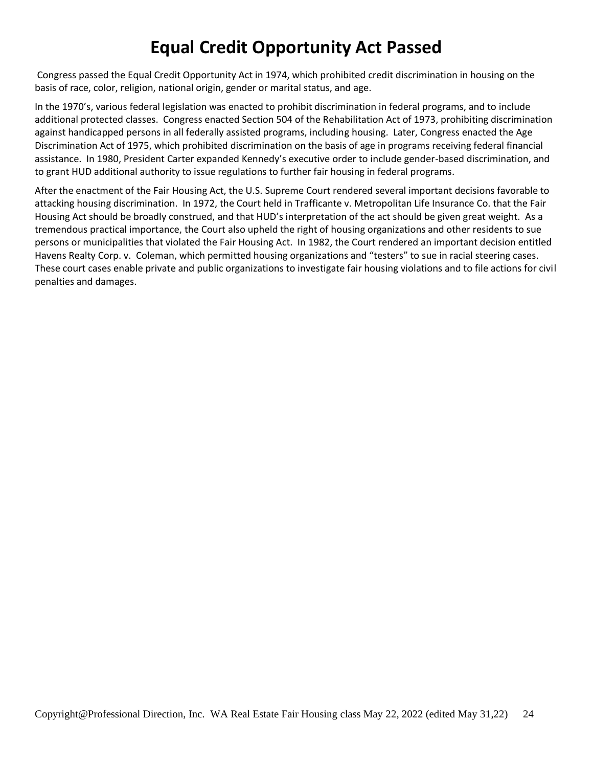## **Equal Credit Opportunity Act Passed**

Congress passed the Equal Credit Opportunity Act in 1974, which prohibited credit discrimination in housing on the basis of race, color, religion, national origin, gender or marital status, and age.

In the 1970's, various federal legislation was enacted to prohibit discrimination in federal programs, and to include additional protected classes. Congress enacted Section 504 of the Rehabilitation Act of 1973, prohibiting discrimination against handicapped persons in all federally assisted programs, including housing. Later, Congress enacted the Age Discrimination Act of 1975, which prohibited discrimination on the basis of age in programs receiving federal financial assistance. In 1980, President Carter expanded Kennedy's executive order to include gender-based discrimination, and to grant HUD additional authority to issue regulations to further fair housing in federal programs.

After the enactment of the Fair Housing Act, the U.S. Supreme Court rendered several important decisions favorable to attacking housing discrimination. In 1972, the Court held in Trafficante v. Metropolitan Life Insurance Co. that the Fair Housing Act should be broadly construed, and that HUD's interpretation of the act should be given great weight. As a tremendous practical importance, the Court also upheld the right of housing organizations and other residents to sue persons or municipalities that violated the Fair Housing Act. In 1982, the Court rendered an important decision entitled Havens Realty Corp. v. Coleman, which permitted housing organizations and "testers" to sue in racial steering cases. These court cases enable private and public organizations to investigate fair housing violations and to file actions for civil penalties and damages.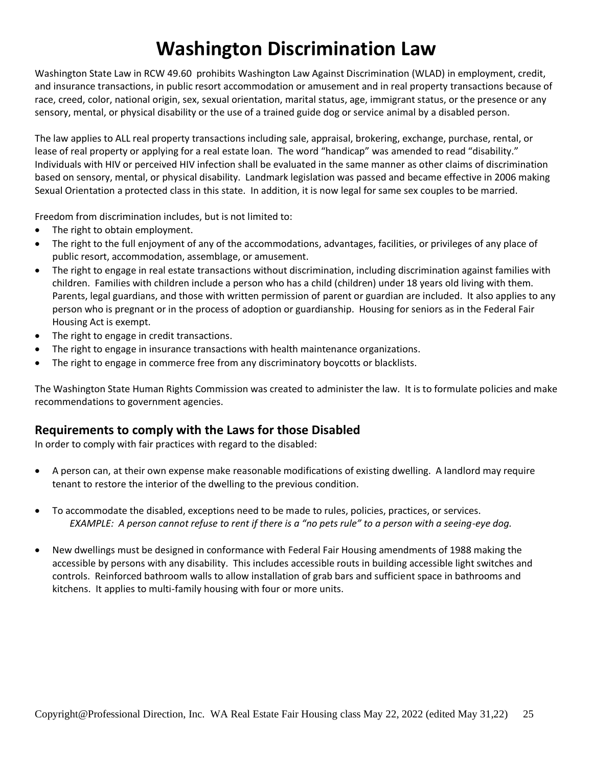## **Washington Discrimination Law**

Washington State Law in RCW 49.60 prohibits Washington Law Against Discrimination (WLAD) in employment, credit, and insurance transactions, in public resort accommodation or amusement and in real property transactions because of race, creed, color, national origin, sex, sexual orientation, marital status, age, immigrant status, or the presence or any sensory, mental, or physical disability or the use of a trained guide dog or service animal by a disabled person.

The law applies to ALL real property transactions including sale, appraisal, brokering, exchange, purchase, rental, or lease of real property or applying for a real estate loan. The word "handicap" was amended to read "disability." Individuals with HIV or perceived HIV infection shall be evaluated in the same manner as other claims of discrimination based on sensory, mental, or physical disability. Landmark legislation was passed and became effective in 2006 making Sexual Orientation a protected class in this state. In addition, it is now legal for same sex couples to be married.

Freedom from discrimination includes, but is not limited to:

- The right to obtain employment.
- The right to the full enjoyment of any of the accommodations, advantages, facilities, or privileges of any place of public resort, accommodation, assemblage, or amusement.
- The right to engage in real estate transactions without discrimination, including discrimination against families with children. Families with children include a person who has a child (children) under 18 years old living with them. Parents, legal guardians, and those with written permission of parent or guardian are included. It also applies to any person who is pregnant or in the process of adoption or guardianship. Housing for seniors as in the Federal Fair Housing Act is exempt.
- The right to engage in credit transactions.
- The right to engage in insurance transactions with health maintenance organizations.
- The right to engage in commerce free from any discriminatory boycotts or blacklists.

The Washington State Human Rights Commission was created to administer the law. It is to formulate policies and make recommendations to government agencies.

### **Requirements to comply with the Laws for those Disabled**

In order to comply with fair practices with regard to the disabled:

- A person can, at their own expense make reasonable modifications of existing dwelling. A landlord may require tenant to restore the interior of the dwelling to the previous condition.
- To accommodate the disabled, exceptions need to be made to rules, policies, practices, or services. *EXAMPLE: A person cannot refuse to rent if there is a "no pets rule" to a person with a seeing-eye dog.*
- New dwellings must be designed in conformance with Federal Fair Housing amendments of 1988 making the accessible by persons with any disability. This includes accessible routs in building accessible light switches and controls. Reinforced bathroom walls to allow installation of grab bars and sufficient space in bathrooms and kitchens. It applies to multi-family housing with four or more units.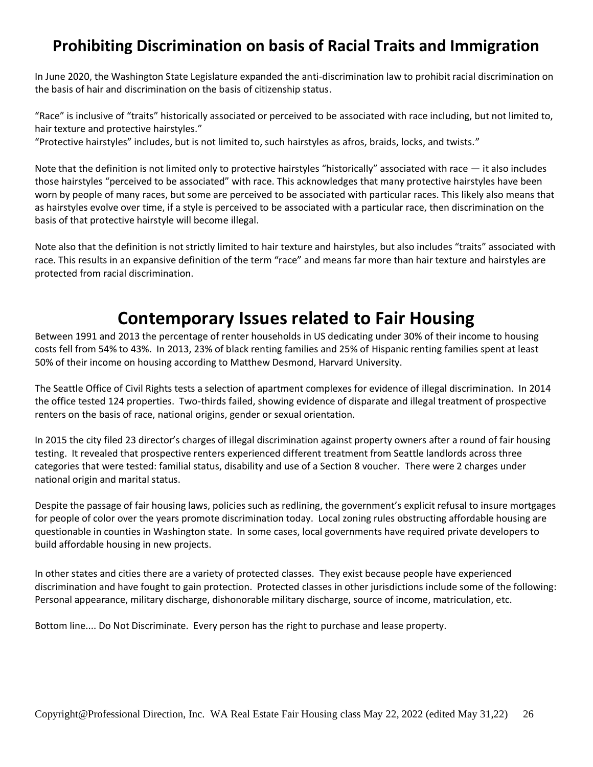## **Prohibiting Discrimination on basis of Racial Traits and Immigration**

In June 2020, the Washington State Legislature expanded the anti-discrimination law to prohibit racial discrimination on the basis of hair and discrimination on the basis of citizenship status.

"Race" is inclusive of "traits" historically associated or perceived to be associated with race including, but not limited to, hair texture and protective hairstyles."

"Protective hairstyles" includes, but is not limited to, such hairstyles as afros, braids, locks, and twists."

Note that the definition is not limited only to protective hairstyles "historically" associated with race  $-$  it also includes those hairstyles "perceived to be associated" with race. This acknowledges that many protective hairstyles have been worn by people of many races, but some are perceived to be associated with particular races. This likely also means that as hairstyles evolve over time, if a style is perceived to be associated with a particular race, then discrimination on the basis of that protective hairstyle will become illegal.

Note also that the definition is not strictly limited to hair texture and hairstyles, but also includes "traits" associated with race. This results in an expansive definition of the term "race" and means far more than hair texture and hairstyles are protected from racial discrimination.

## **Contemporary Issues related to Fair Housing**

Between 1991 and 2013 the percentage of renter households in US dedicating under 30% of their income to housing costs fell from 54% to 43%. In 2013, 23% of black renting families and 25% of Hispanic renting families spent at least 50% of their income on housing according to Matthew Desmond, Harvard University.

The Seattle Office of Civil Rights tests a selection of apartment complexes for evidence of illegal discrimination. In 2014 the office tested 124 properties. Two-thirds failed, showing evidence of disparate and illegal treatment of prospective renters on the basis of race, national origins, gender or sexual orientation.

In 2015 the city filed 23 director's charges of illegal discrimination against property owners after a round of fair housing testing. It revealed that prospective renters experienced different treatment from Seattle landlords across three categories that were tested: familial status, disability and use of a Section 8 voucher. There were 2 charges under national origin and marital status.

Despite the passage of fair housing laws, policies such as redlining, the government's explicit refusal to insure mortgages for people of color over the years promote discrimination today. Local zoning rules obstructing affordable housing are questionable in counties in Washington state. In some cases, local governments have required private developers to build affordable housing in new projects.

In other states and cities there are a variety of protected classes. They exist because people have experienced discrimination and have fought to gain protection. Protected classes in other jurisdictions include some of the following: Personal appearance, military discharge, dishonorable military discharge, source of income, matriculation, etc.

Bottom line.... Do Not Discriminate. Every person has the right to purchase and lease property.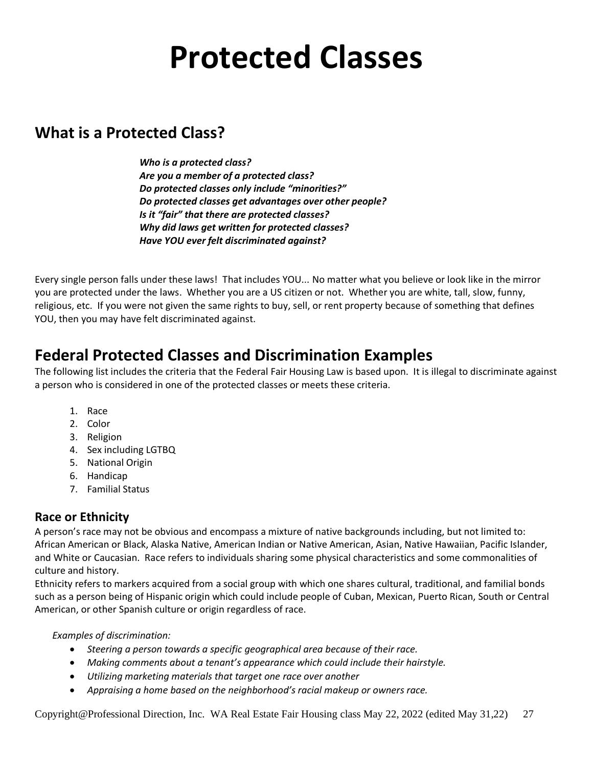## **Protected Classes**

## **What is a Protected Class?**

*Who is a protected class? Are you a member of a protected class? Do protected classes only include "minorities?" Do protected classes get advantages over other people? Is it "fair" that there are protected classes? Why did laws get written for protected classes? Have YOU ever felt discriminated against?*

Every single person falls under these laws! That includes YOU... No matter what you believe or look like in the mirror you are protected under the laws. Whether you are a US citizen or not. Whether you are white, tall, slow, funny, religious, etc. If you were not given the same rights to buy, sell, or rent property because of something that defines YOU, then you may have felt discriminated against.

## **Federal Protected Classes and Discrimination Examples**

The following list includes the criteria that the Federal Fair Housing Law is based upon. It is illegal to discriminate against a person who is considered in one of the protected classes or meets these criteria.

- 1. Race
- 2. Color
- 3. Religion
- 4. Sex including LGTBQ
- 5. National Origin
- 6. Handicap
- 7. Familial Status

### **Race or Ethnicity**

A person's race may not be obvious and encompass a mixture of native backgrounds including, but not limited to: African American or Black, Alaska Native, American Indian or Native American, Asian, Native Hawaiian, Pacific Islander, and White or Caucasian. Race refers to individuals sharing some physical characteristics and some commonalities of culture and history.

Ethnicity refers to markers acquired from a social group with which one shares cultural, traditional, and familial bonds such as a person being of Hispanic origin which could include people of Cuban, Mexican, Puerto Rican, South or Central American, or other Spanish culture or origin regardless of race.

*Examples of discrimination:*

- *Steering a person towards a specific geographical area because of their race.*
- *Making comments about a tenant's appearance which could include their hairstyle.*
- *Utilizing marketing materials that target one race over another*
- *Appraising a home based on the neighborhood's racial makeup or owners race.*

Copyright@Professional Direction, Inc. WA Real Estate Fair Housing class May 22, 2022 (edited May 31,22) 27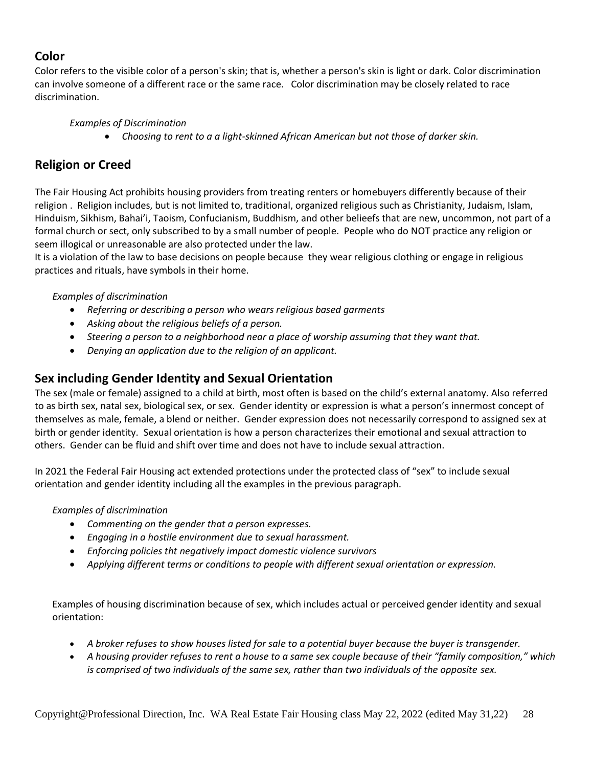### **Color**

Color refers to the visible color of a person's skin; that is, whether a person's skin is light or dark. Color discrimination can involve someone of a different race or the same race. Color discrimination may be closely related to race discrimination.

### *Examples of Discrimination*

• *Choosing to rent to a a light-skinned African American but not those of darker skin.*

### **Religion or Creed**

The Fair Housing Act prohibits housing providers from treating renters or homebuyers differently because of their religion . Religion includes, but is not limited to, traditional, organized religious such as Christianity, Judaism, Islam, Hinduism, Sikhism, Bahai'i, Taoism, Confucianism, Buddhism, and other belieefs that are new, uncommon, not part of a formal church or sect, only subscribed to by a small number of people. People who do NOT practice any religion or seem illogical or unreasonable are also protected under the law.

It is a violation of the law to base decisions on people because they wear religious clothing or engage in religious practices and rituals, have symbols in their home.

### *Examples of discrimination*

- *Referring or describing a person who wears religious based garments*
- *Asking about the religious beliefs of a person.*
- *Steering a person to a neighborhood near a place of worship assuming that they want that.*
- *Denying an application due to the religion of an applicant.*

### **Sex including Gender Identity and Sexual Orientation**

The sex (male or female) assigned to a child at birth, most often is based on the child's external anatomy. Also referred to as birth sex, natal sex, biological sex, or sex. Gender identity or expression is what a person's innermost concept of themselves as male, female, a blend or neither. Gender expression does not necessarily correspond to assigned sex at birth or gender identity. Sexual orientation is how a person characterizes their emotional and sexual attraction to others. Gender can be fluid and shift over time and does not have to include sexual attraction.

In 2021 the Federal Fair Housing act extended protections under the protected class of "sex" to include sexual orientation and gender identity including all the examples in the previous paragraph.

### *Examples of discrimination*

- *Commenting on the gender that a person expresses.*
- *Engaging in a hostile environment due to sexual harassment.*
- *Enforcing policies tht negatively impact domestic violence survivors*
- *Applying different terms or conditions to people with different sexual orientation or expression.*

Examples of housing discrimination because of sex, which includes actual or perceived gender identity and sexual orientation:

- *A broker refuses to show houses listed for sale to a potential buyer because the buyer is transgender.*
- *A housing provider refuses to rent a house to a same sex couple because of their "family composition," which is comprised of two individuals of the same sex, rather than two individuals of the opposite sex.*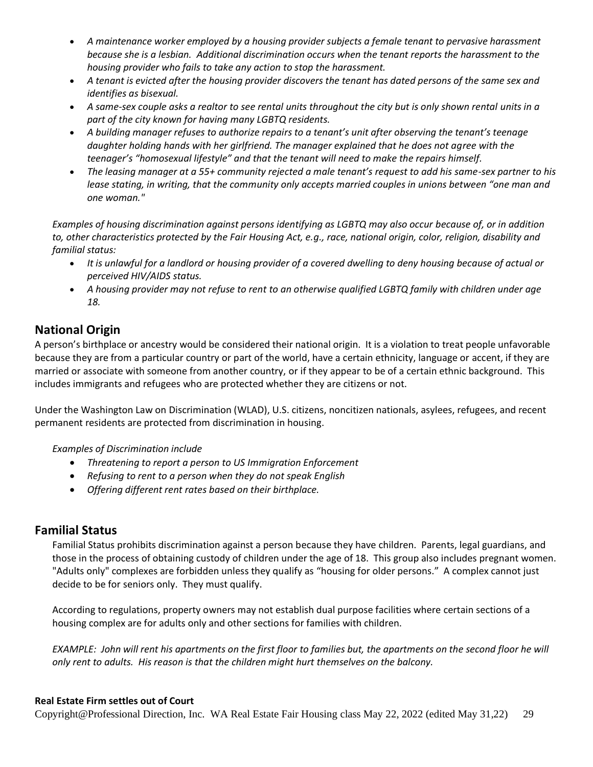- *A maintenance worker employed by a housing provider subjects a female tenant to pervasive harassment because she is a lesbian. Additional discrimination occurs when the tenant reports the harassment to the housing provider who fails to take any action to stop the harassment.*
- *A tenant is evicted after the housing provider discovers the tenant has dated persons of the same sex and identifies as bisexual.*
- *A same-sex couple asks a realtor to see rental units throughout the city but is only shown rental units in a part of the city known for having many LGBTQ residents.*
- *A building manager refuses to authorize repairs to a tenant's unit after observing the tenant's teenage daughter holding hands with her girlfriend. The manager explained that he does not agree with the teenager's "homosexual lifestyle" and that the tenant will need to make the repairs himself.*
- *The leasing manager at a 55+ community rejected a male tenant's request to add his same-sex partner to his lease stating, in writing, that the community only accepts married couples in unions between "one man and one woman."*

*Examples of housing discrimination against persons identifying as LGBTQ may also occur because of, or in addition to, other characteristics protected by the Fair Housing Act, e.g., race, national origin, color, religion, disability and familial status:*

- *It is unlawful for a landlord or housing provider of a covered dwelling to deny housing because of actual or perceived HIV/AIDS status.*
- *A housing provider may not refuse to rent to an otherwise qualified LGBTQ family with children under age 18.*

### **National Origin**

A person's birthplace or ancestry would be considered their national origin. It is a violation to treat people unfavorable because they are from a particular country or part of the world, have a certain ethnicity, language or accent, if they are married or associate with someone from another country, or if they appear to be of a certain ethnic background. This includes immigrants and refugees who are protected whether they are citizens or not.

Under the Washington Law on Discrimination (WLAD), U.S. citizens, noncitizen nationals, asylees, refugees, and recent permanent residents are protected from discrimination in housing.

*Examples of Discrimination include*

- *Threatening to report a person to US Immigration Enforcement*
- *Refusing to rent to a person when they do not speak English*
- *Offering different rent rates based on their birthplace.*

### **Familial Status**

Familial Status prohibits discrimination against a person because they have children. Parents, legal guardians, and those in the process of obtaining custody of children under the age of 18. This group also includes pregnant women. "Adults only" complexes are forbidden unless they qualify as "housing for older persons." A complex cannot just decide to be for seniors only. They must qualify.

According to regulations, property owners may not establish dual purpose facilities where certain sections of a housing complex are for adults only and other sections for families with children.

*EXAMPLE: John will rent his apartments on the first floor to families but, the apartments on the second floor he will only rent to adults. His reason is that the children might hurt themselves on the balcony.*

### **Real Estate Firm settles out of Court**

Copyright@Professional Direction, Inc. WA Real Estate Fair Housing class May 22, 2022 (edited May 31,22) 29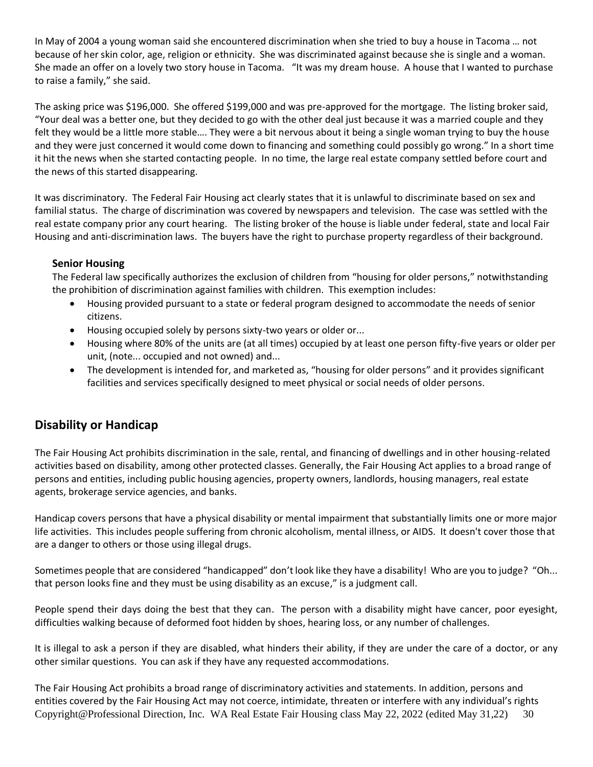In May of 2004 a young woman said she encountered discrimination when she tried to buy a house in Tacoma … not because of her skin color, age, religion or ethnicity. She was discriminated against because she is single and a woman. She made an offer on a lovely two story house in Tacoma. "It was my dream house. A house that I wanted to purchase to raise a family," she said.

The asking price was \$196,000. She offered \$199,000 and was pre-approved for the mortgage. The listing broker said, "Your deal was a better one, but they decided to go with the other deal just because it was a married couple and they felt they would be a little more stable…. They were a bit nervous about it being a single woman trying to buy the house and they were just concerned it would come down to financing and something could possibly go wrong." In a short time it hit the news when she started contacting people. In no time, the large real estate company settled before court and the news of this started disappearing.

It was discriminatory. The Federal Fair Housing act clearly states that it is unlawful to discriminate based on sex and familial status. The charge of discrimination was covered by newspapers and television. The case was settled with the real estate company prior any court hearing. The listing broker of the house is liable under federal, state and local Fair Housing and anti-discrimination laws. The buyers have the right to purchase property regardless of their background.

### **Senior Housing**

The Federal law specifically authorizes the exclusion of children from "housing for older persons," notwithstanding the prohibition of discrimination against families with children. This exemption includes:

- Housing provided pursuant to a state or federal program designed to accommodate the needs of senior citizens.
- Housing occupied solely by persons sixty-two years or older or...
- Housing where 80% of the units are (at all times) occupied by at least one person fifty-five years or older per unit, (note... occupied and not owned) and...
- The development is intended for, and marketed as, "housing for older persons" and it provides significant facilities and services specifically designed to meet physical or social needs of older persons.

### **Disability or Handicap**

The Fair Housing Act prohibits discrimination in the sale, rental, and financing of dwellings and in other housing-related activities based on disability, among other protected classes. Generally, the Fair Housing Act applies to a broad range of persons and entities, including public housing agencies, property owners, landlords, housing managers, real estate agents, brokerage service agencies, and banks.

Handicap covers persons that have a physical disability or mental impairment that substantially limits one or more major life activities. This includes people suffering from chronic alcoholism, mental illness, or AIDS. It doesn't cover those that are a danger to others or those using illegal drugs.

Sometimes people that are considered "handicapped" don't look like they have a disability! Who are you to judge? "Oh... that person looks fine and they must be using disability as an excuse," is a judgment call.

People spend their days doing the best that they can. The person with a disability might have cancer, poor eyesight, difficulties walking because of deformed foot hidden by shoes, hearing loss, or any number of challenges.

It is illegal to ask a person if they are disabled, what hinders their ability, if they are under the care of a doctor, or any other similar questions. You can ask if they have any requested accommodations.

Copyright@Professional Direction, Inc. WA Real Estate Fair Housing class May 22, 2022 (edited May 31,22) 30 The Fair Housing Act prohibits a broad range of discriminatory activities and statements. In addition, persons and entities covered by the Fair Housing Act may not coerce, intimidate, threaten or interfere with any individual's rights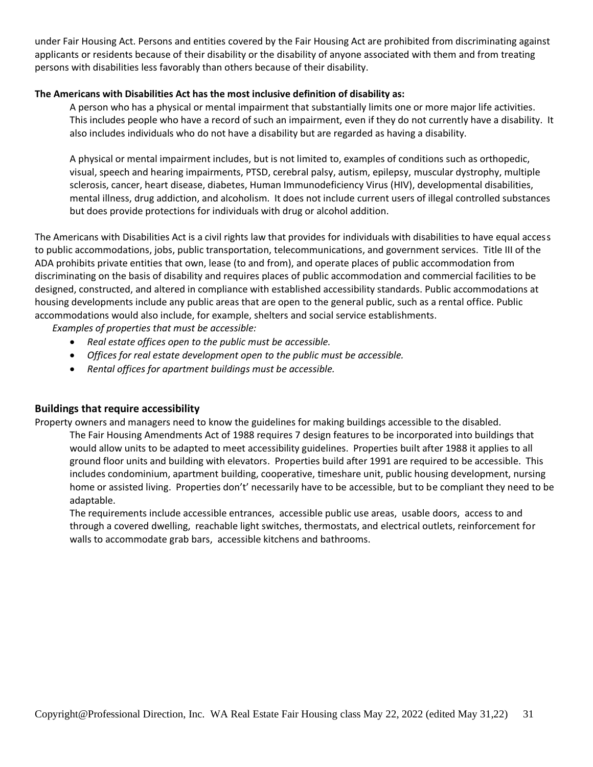under Fair Housing Act. Persons and entities covered by the Fair Housing Act are prohibited from discriminating against applicants or residents because of their disability or the disability of anyone associated with them and from treating persons with disabilities less favorably than others because of their disability.

### **The Americans with Disabilities Act has the most inclusive definition of disability as:**

A person who has a physical or mental impairment that substantially limits one or more major life activities. This includes people who have a record of such an impairment, even if they do not currently have a disability. It also includes individuals who do not have a disability but are regarded as having a disability.

A physical or mental impairment includes, but is not limited to, examples of conditions such as orthopedic, visual, speech and hearing impairments, PTSD, cerebral palsy, autism, epilepsy, muscular dystrophy, multiple sclerosis, cancer, heart disease, diabetes, Human Immunodeficiency Virus (HIV), developmental disabilities, mental illness, drug addiction, and alcoholism. It does not include current users of illegal controlled substances but does provide protections for individuals with drug or alcohol addition.

The Americans with Disabilities Act is a civil rights law that provides for individuals with disabilities to have equal access to public accommodations, jobs, public transportation, telecommunications, and government services. Title III of the ADA prohibits private entities that own, lease (to and from), and operate places of public accommodation from discriminating on the basis of disability and requires places of public accommodation and commercial facilities to be designed, constructed, and altered in compliance with established accessibility standards. Public accommodations at housing developments include any public areas that are open to the general public, such as a rental office. Public accommodations would also include, for example, shelters and social service establishments.

*Examples of properties that must be accessible:*

- *Real estate offices open to the public must be accessible.*
- *Offices for real estate development open to the public must be accessible.*
- *Rental offices for apartment buildings must be accessible.*

### **Buildings that require accessibility**

Property owners and managers need to know the guidelines for making buildings accessible to the disabled.

The Fair Housing Amendments Act of 1988 requires 7 design features to be incorporated into buildings that would allow units to be adapted to meet accessibility guidelines. Properties built after 1988 it applies to all ground floor units and building with elevators. Properties build after 1991 are required to be accessible. This includes condominium, apartment building, cooperative, timeshare unit, public housing development, nursing home or assisted living. Properties don't' necessarily have to be accessible, but to be compliant they need to be adaptable.

The requirements include accessible entrances, accessible public use areas, usable doors, access to and through a covered dwelling, reachable light switches, thermostats, and electrical outlets, reinforcement for walls to accommodate grab bars, accessible kitchens and bathrooms.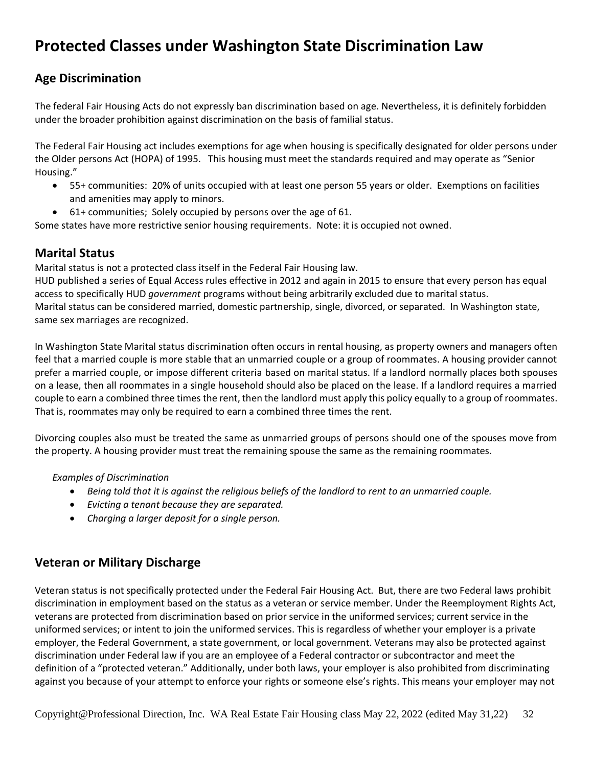## **Protected Classes under Washington State Discrimination Law**

### **Age Discrimination**

The federal Fair Housing Acts do not expressly ban discrimination based on age. Nevertheless, it is definitely forbidden under the broader prohibition against discrimination on the basis of familial status.

The Federal Fair Housing act includes exemptions for age when housing is specifically designated for older persons under the Older persons Act (HOPA) of 1995. This housing must meet the standards required and may operate as "Senior Housing."

- 55+ communities: 20% of units occupied with at least one person 55 years or older. Exemptions on facilities and amenities may apply to minors.
- 61+ communities; Solely occupied by persons over the age of 61.

Some states have more restrictive senior housing requirements. Note: it is occupied not owned.

### **Marital Status**

Marital status is not a protected class itself in the Federal Fair Housing law.

HUD published a series of Equal Access rules effective in 2012 and again in 2015 to ensure that every person has equal access to specifically HUD *government* programs without being arbitrarily excluded due to marital status. Marital status can be considered married, domestic partnership, single, divorced, or separated. In Washington state, same sex marriages are recognized.

In Washington State Marital status discrimination often occurs in rental housing, as property owners and managers often feel that a married couple is more stable that an unmarried couple or a group of roommates. A housing provider cannot prefer a married couple, or impose different criteria based on marital status. If a landlord normally places both spouses on a lease, then all roommates in a single household should also be placed on the lease. If a landlord requires a married couple to earn a combined three times the rent, then the landlord must apply this policy equally to a group of roommates. That is, roommates may only be required to earn a combined three times the rent.

Divorcing couples also must be treated the same as unmarried groups of persons should one of the spouses move from the property. A housing provider must treat the remaining spouse the same as the remaining roommates.

### *Examples of Discrimination*

- *Being told that it is against the religious beliefs of the landlord to rent to an unmarried couple.*
- *Evicting a tenant because they are separated.*
- *Charging a larger deposit for a single person.*

### **Veteran or Military Discharge**

Veteran status is not specifically protected under the Federal Fair Housing Act. But, there are two Federal laws prohibit discrimination in employment based on the status as a veteran or service member. Under the Reemployment Rights Act, veterans are protected from discrimination based on prior service in the uniformed services; current service in the uniformed services; or intent to join the uniformed services. This is regardless of whether your employer is a private employer, the Federal Government, a state government, or local government. Veterans may also be protected against discrimination under Federal law if you are an employee of a Federal contractor or subcontractor and meet the definition of a "[protected veteran](https://www.dol.gov/ofccp/posters/Infographics/files/ProtectedVet-2016-11x17_ENGESQA508c.pdf)." Additionally, under both laws, your employer is also prohibited from discriminating against you because of your attempt to enforce your rights or someone else's rights. This means your employer may not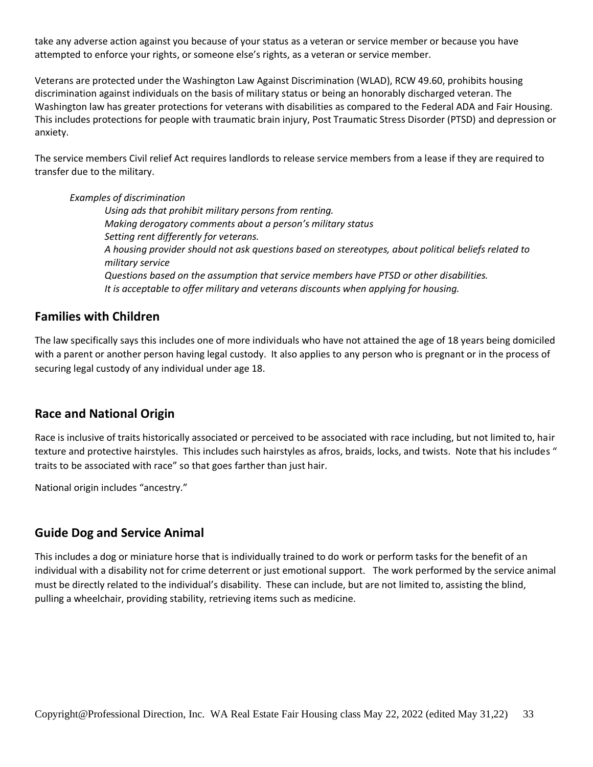take any adverse action against you because of your status as a veteran or service member or because you have attempted to enforce your rights, or someone else's rights, as a veteran or service member.

Veterans are protected under the Washington Law Against Discrimination (WLAD), RCW 49.60, prohibits housing discrimination against individuals on the basis of military status or being an honorably discharged veteran. The Washington law has greater protections for veterans with disabilities as compared to the Federal ADA and Fair Housing. This includes protections for people with traumatic brain injury, Post Traumatic Stress Disorder (PTSD) and depression or anxiety.

The service members Civil relief Act requires landlords to release service members from a lease if they are required to transfer due to the military.

### *Examples of discrimination*

*Using ads that prohibit military persons from renting. Making derogatory comments about a person's military status Setting rent differently for veterans. A housing provider should not ask questions based on stereotypes, about political beliefs related to military service Questions based on the assumption that service members have PTSD or other disabilities. It is acceptable to offer military and veterans discounts when applying for housing.*

### **Families with Children**

The law specifically says this includes one of more individuals who have not attained the age of 18 years being domiciled with a parent or another person having legal custody. It also applies to any person who is pregnant or in the process of securing legal custody of any individual under age 18.

### **Race and National Origin**

Race is inclusive of traits historically associated or perceived to be associated with race including, but not limited to, hair texture and protective hairstyles. This includes such hairstyles as afros, braids, locks, and twists. Note that his includes " traits to be associated with race" so that goes farther than just hair.

National origin includes "ancestry."

### **Guide Dog and Service Animal**

This includes a dog or miniature horse that is individually trained to do work or perform tasks for the benefit of an individual with a disability not for crime deterrent or just emotional support. The work performed by the service animal must be directly related to the individual's disability. These can include, but are not limited to, assisting the blind, pulling a wheelchair, providing stability, retrieving items such as medicine.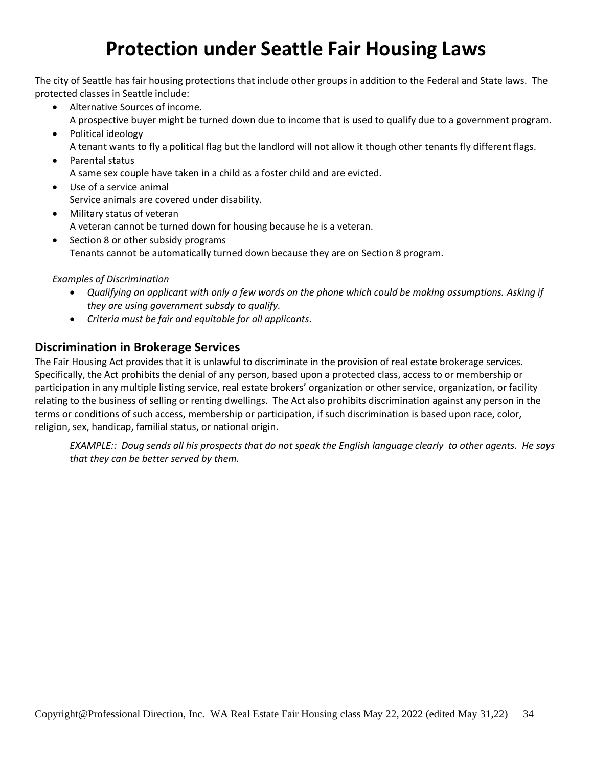## **Protection under Seattle Fair Housing Laws**

The city of Seattle has fair housing protections that include other groups in addition to the Federal and State laws. The protected classes in Seattle include:

- Alternative Sources of income. A prospective buyer might be turned down due to income that is used to qualify due to a government program.
- Political ideology A tenant wants to fly a political flag but the landlord will not allow it though other tenants fly different flags.
- Parental status A same sex couple have taken in a child as a foster child and are evicted.
- Use of a service animal Service animals are covered under disability.
- Military status of veteran A veteran cannot be turned down for housing because he is a veteran.
- Section 8 or other subsidy programs Tenants cannot be automatically turned down because they are on Section 8 program.

### *Examples of Discrimination*

- *Qualifying an applicant with only a few words on the phone which could be making assumptions. Asking if they are using government subsdy to qualify.*
- *Criteria must be fair and equitable for all applicants.*

### **Discrimination in Brokerage Services**

The Fair Housing Act provides that it is unlawful to discriminate in the provision of real estate brokerage services. Specifically, the Act prohibits the denial of any person, based upon a protected class, access to or membership or participation in any multiple listing service, real estate brokers' organization or other service, organization, or facility relating to the business of selling or renting dwellings. The Act also prohibits discrimination against any person in the terms or conditions of such access, membership or participation, if such discrimination is based upon race, color, religion, sex, handicap, familial status, or national origin.

*EXAMPLE:: Doug sends all his prospects that do not speak the English language clearly to other agents. He says that they can be better served by them.*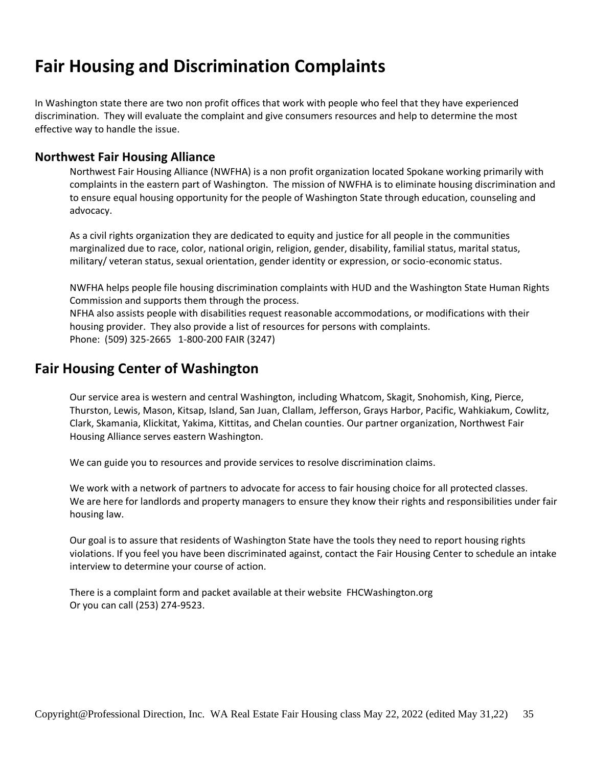## **Fair Housing and Discrimination Complaints**

In Washington state there are two non profit offices that work with people who feel that they have experienced discrimination. They will evaluate the complaint and give consumers resources and help to determine the most effective way to handle the issue.

### **Northwest Fair Housing Alliance**

Northwest Fair Housing Alliance (NWFHA) is a non profit organization located Spokane working primarily with complaints in the eastern part of Washington. The mission of NWFHA is to eliminate housing discrimination and to ensure equal housing opportunity for the people of Washington State through education, counseling and advocacy.

As a civil rights organization they are dedicated to equity and justice for all people in the communities marginalized due to race, color, national origin, religion, gender, disability, familial status, marital status, military/ veteran status, sexual orientation, gender identity or expression, or socio-economic status.

NWFHA helps people file housing discrimination complaints with HUD and the Washington State Human Rights Commission and supports them through the process. NFHA also assists people with disabilities request reasonable accommodations, or modifications with their housing provider. They also provide a list of resources for persons with complaints.

Phone: (509) 325-2665 1-800-200 FAIR (3247)

### **Fair Housing Center of Washington**

Our service area is western and central Washington, including Whatcom, Skagit, Snohomish, King, Pierce, Thurston, Lewis, Mason, Kitsap, Island, San Juan, Clallam, Jefferson, Grays Harbor, Pacific, Wahkiakum, Cowlitz, Clark, Skamania, Klickitat, Yakima, Kittitas, and Chelan counties. Our partner organization, Northwest Fair Housing Alliance serves eastern Washington.

We can guide you to resources and provide services to resolve discrimination claims.

We work with a network of partners to advocate for access to fair housing choice for all protected classes. We are here for landlords and property managers to ensure they know their rights and responsibilities under fair housing law.

Our goal is to assure that residents of Washington State have the tools they need to report housing rights violations. If you feel you have been discriminated against, contact the Fair Housing Center to schedule an intake interview to determine your course of action.

There is a complaint form and packet available at their website FHCWashington.org Or you can call (253) 274-9523.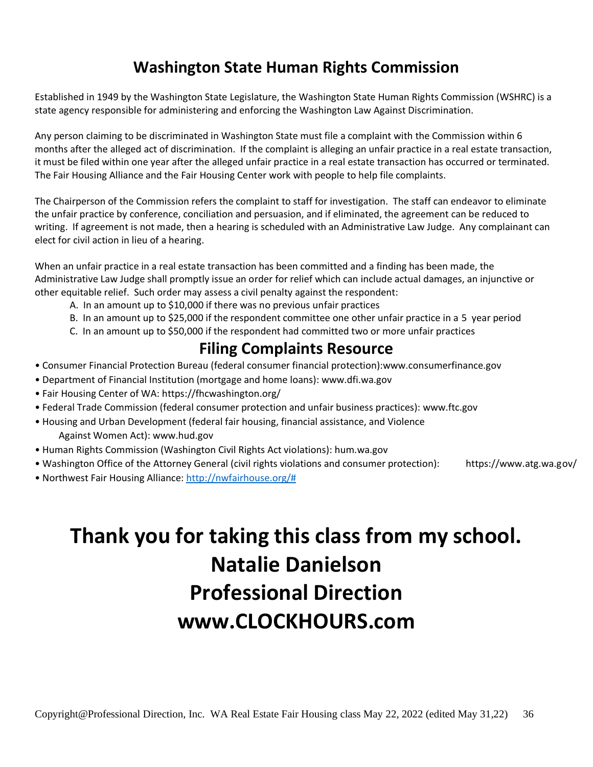## **Washington State Human Rights Commission**

Established in 1949 by the Washington State Legislature, the Washington State Human Rights Commission (WSHRC) is a state agency responsible for administering and enforcing the Washington Law Against Discrimination.

Any person claiming to be discriminated in Washington State must file a complaint with the Commission within 6 months after the alleged act of discrimination. If the complaint is alleging an unfair practice in a real estate transaction, it must be filed within one year after the alleged unfair practice in a real estate transaction has occurred or terminated. The Fair Housing Alliance and the Fair Housing Center work with people to help file complaints.

The Chairperson of the Commission refers the complaint to staff for investigation. The staff can endeavor to eliminate the unfair practice by conference, conciliation and persuasion, and if eliminated, the agreement can be reduced to writing. If agreement is not made, then a hearing is scheduled with an Administrative Law Judge. Any complainant can elect for civil action in lieu of a hearing.

When an unfair practice in a real estate transaction has been committed and a finding has been made, the Administrative Law Judge shall promptly issue an order for relief which can include actual damages, an injunctive or other equitable relief. Such order may assess a civil penalty against the respondent:

- A. In an amount up to \$10,000 if there was no previous unfair practices
- B. In an amount up to \$25,000 if the respondent committee one other unfair practice in a 5 year period
- C. In an amount up to \$50,000 if the respondent had committed two or more unfair practices

## **Filing Complaints Resource**

- Consumer Financial Protection Bureau (federal consumer financial protection):www.consumerfinance.gov
- Department of Financial Institution (mortgage and home loans): www.dfi.wa.gov
- Fair Housing Center of WA: https://fhcwashington.org/
- Federal Trade Commission (federal consumer protection and unfair business practices): www.ftc.gov
- Housing and Urban Development (federal fair housing, financial assistance, and Violence Against Women Act): www.hud.gov
- Human Rights Commission (Washington Civil Rights Act violations): hum.wa.gov
- Washington Office of the Attorney General (civil rights violations and consumer protection): https://www.atg.wa.gov/
- Northwest Fair Housing Alliance: [http://nwfairhouse.org/#](http://nwfairhouse.org/)

**Thank you for taking this class from my school. Natalie Danielson Professional Direction www.CLOCKHOURS.com**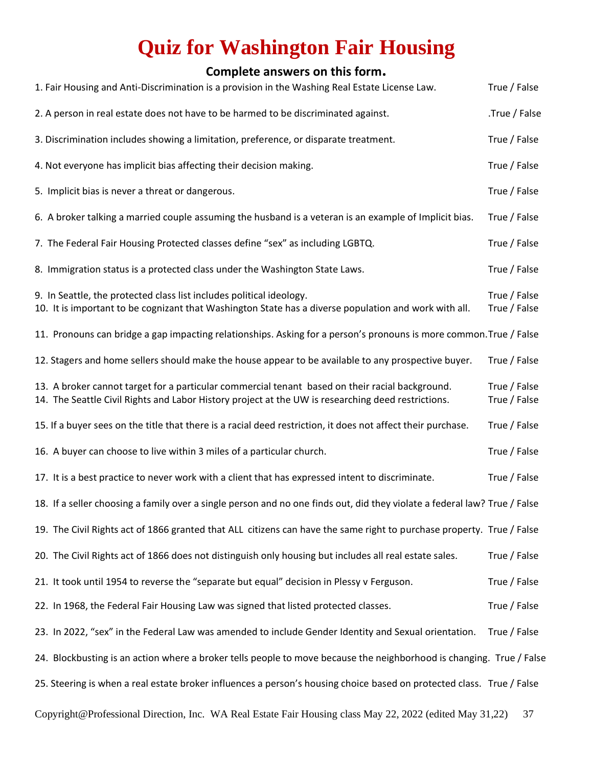## **Quiz for Washington Fair Housing**

## **Complete answers on this form.**

| 1. Fair Housing and Anti-Discrimination is a provision in the Washing Real Estate License Law.                                                                                                        | True / False                 |
|-------------------------------------------------------------------------------------------------------------------------------------------------------------------------------------------------------|------------------------------|
| 2. A person in real estate does not have to be harmed to be discriminated against.                                                                                                                    | .True / False                |
| 3. Discrimination includes showing a limitation, preference, or disparate treatment.                                                                                                                  | True / False                 |
| 4. Not everyone has implicit bias affecting their decision making.                                                                                                                                    | True / False                 |
| 5. Implicit bias is never a threat or dangerous.                                                                                                                                                      | True / False                 |
| 6. A broker talking a married couple assuming the husband is a veteran is an example of Implicit bias.                                                                                                | True / False                 |
| 7. The Federal Fair Housing Protected classes define "sex" as including LGBTQ.                                                                                                                        | True / False                 |
| 8. Immigration status is a protected class under the Washington State Laws.                                                                                                                           | True / False                 |
| 9. In Seattle, the protected class list includes political ideology.<br>10. It is important to be cognizant that Washington State has a diverse population and work with all.                         | True / False<br>True / False |
| 11. Pronouns can bridge a gap impacting relationships. Asking for a person's pronouns is more common. True / False                                                                                    |                              |
| 12. Stagers and home sellers should make the house appear to be available to any prospective buyer.                                                                                                   | True / False                 |
| 13. A broker cannot target for a particular commercial tenant based on their racial background.<br>14. The Seattle Civil Rights and Labor History project at the UW is researching deed restrictions. | True / False<br>True / False |
| 15. If a buyer sees on the title that there is a racial deed restriction, it does not affect their purchase.                                                                                          | True / False                 |
| 16. A buyer can choose to live within 3 miles of a particular church.                                                                                                                                 | True / False                 |
| 17. It is a best practice to never work with a client that has expressed intent to discriminate.                                                                                                      | True / False                 |
| 18. If a seller choosing a family over a single person and no one finds out, did they violate a federal law? True / False                                                                             |                              |
| 19. The Civil Rights act of 1866 granted that ALL citizens can have the same right to purchase property. True / False                                                                                 |                              |
| 20. The Civil Rights act of 1866 does not distinguish only housing but includes all real estate sales.                                                                                                | True / False                 |
| 21. It took until 1954 to reverse the "separate but equal" decision in Plessy v Ferguson.                                                                                                             | True / False                 |
| 22. In 1968, the Federal Fair Housing Law was signed that listed protected classes.                                                                                                                   | True / False                 |
| 23. In 2022, "sex" in the Federal Law was amended to include Gender Identity and Sexual orientation.                                                                                                  | True / False                 |
| 24. Blockbusting is an action where a broker tells people to move because the neighborhood is changing. True / False                                                                                  |                              |
| 25. Steering is when a real estate broker influences a person's housing choice based on protected class. True / False                                                                                 |                              |
| Copyright@Professional Direction, Inc. WA Real Estate Fair Housing class May 22, 2022 (edited May 31,22)                                                                                              | 37                           |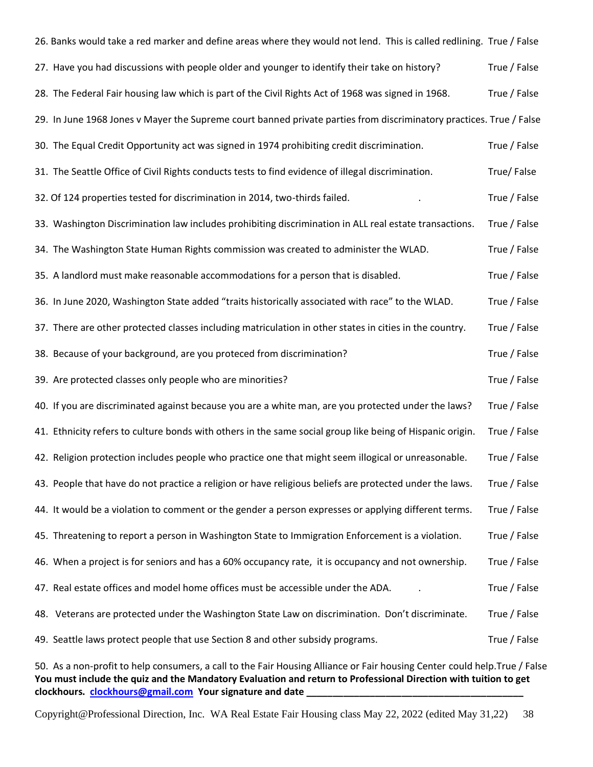| 26. Banks would take a red marker and define areas where they would not lend. This is called redlining. True / False |              |
|----------------------------------------------------------------------------------------------------------------------|--------------|
| 27. Have you had discussions with people older and younger to identify their take on history?                        | True / False |
| 28. The Federal Fair housing law which is part of the Civil Rights Act of 1968 was signed in 1968.                   | True / False |
| 29. In June 1968 Jones v Mayer the Supreme court banned private parties from discriminatory practices. True / False  |              |
| 30. The Equal Credit Opportunity act was signed in 1974 prohibiting credit discrimination.                           | True / False |
| 31. The Seattle Office of Civil Rights conducts tests to find evidence of illegal discrimination.                    | True/False   |
| 32. Of 124 properties tested for discrimination in 2014, two-thirds failed.                                          | True / False |
| 33. Washington Discrimination law includes prohibiting discrimination in ALL real estate transactions.               | True / False |
| 34. The Washington State Human Rights commission was created to administer the WLAD.                                 | True / False |
| 35. A landlord must make reasonable accommodations for a person that is disabled.                                    | True / False |
| 36. In June 2020, Washington State added "traits historically associated with race" to the WLAD.                     | True / False |
| 37. There are other protected classes including matriculation in other states in cities in the country.              | True / False |
| 38. Because of your background, are you proteced from discrimination?                                                | True / False |
| 39. Are protected classes only people who are minorities?                                                            | True / False |
| 40. If you are discriminated against because you are a white man, are you protected under the laws?                  | True / False |
| 41. Ethnicity refers to culture bonds with others in the same social group like being of Hispanic origin.            | True / False |
| 42. Religion protection includes people who practice one that might seem illogical or unreasonable.                  | True / False |
| 43. People that have do not practice a religion or have religious beliefs are protected under the laws.              | True / False |
| 44. It would be a violation to comment or the gender a person expresses or applying different terms.                 | True / False |
| 45. Threatening to report a person in Washington State to Immigration Enforcement is a violation.                    | True / False |
| 46. When a project is for seniors and has a 60% occupancy rate, it is occupancy and not ownership.                   | True / False |
| 47. Real estate offices and model home offices must be accessible under the ADA.                                     | True / False |
| 48. Veterans are protected under the Washington State Law on discrimination. Don't discriminate.                     | True / False |
| 49. Seattle laws protect people that use Section 8 and other subsidy programs.                                       | True / False |
|                                                                                                                      |              |

50. As a non-profit to help consumers, a call to the Fair Housing Alliance or Fair housing Center could help.True / False **You must include the quiz and the Mandatory Evaluation and return to Professional Direction with tuition to get clockhours. [clockhours@gmail.com](mailto:clockhours@gmail.com) Your signature and date \_\_\_\_\_\_\_\_\_\_\_\_\_\_\_\_\_\_\_\_\_\_\_\_\_\_\_\_\_\_\_\_\_\_\_\_\_\_\_\_\_**

Copyright@Professional Direction, Inc. WA Real Estate Fair Housing class May 22, 2022 (edited May 31,22) 38